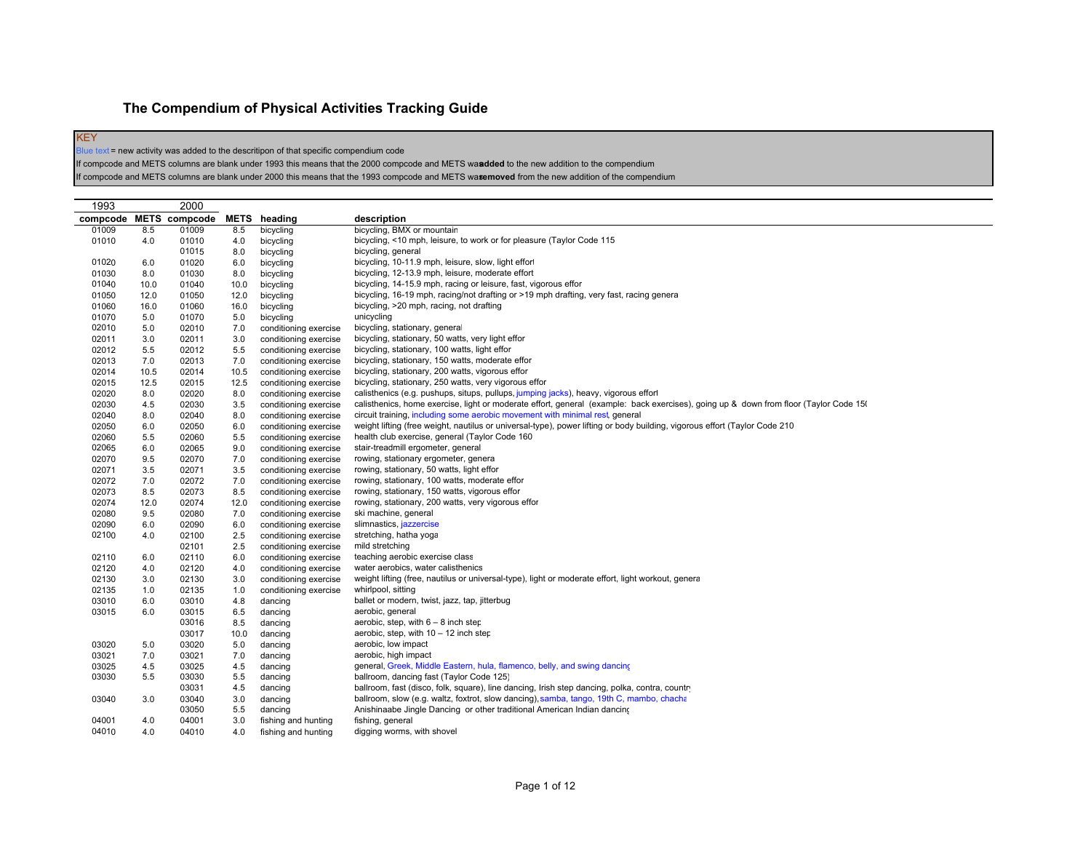## **The Compendium of Physical Activities Tracking Guide**

KEY Blue text = new activity was added to the descritipon of that specific compendium code

If compcode and METS columns are blank under 1993 this means that the 2000 compcode and METS was **added** to the new addition to the compendium

If compcode and METS columns are blank under 2000 this means that the 1993 compcode and METS wasemoved from the new addition of the compendium

| 1993  |      | 2000                   |      |                       |                                                                                                                                       |
|-------|------|------------------------|------|-----------------------|---------------------------------------------------------------------------------------------------------------------------------------|
|       |      | compcode METS compcode |      | <b>METS</b> heading   | description                                                                                                                           |
| 01009 | 8.5  | 01009                  | 8.5  | bicycling             | bicycling, BMX or mountain                                                                                                            |
| 01010 | 4.0  | 01010                  | 4.0  | bicycling             | bicycling, <10 mph, leisure, to work or for pleasure (Taylor Code 115                                                                 |
|       |      | 01015                  | 8.0  | bicycling             | bicycling, general                                                                                                                    |
| 01020 | 6.0  | 01020                  | 6.0  | bicycling             | bicycling, 10-11.9 mph, leisure, slow, light effort                                                                                   |
| 01030 | 8.0  | 01030                  | 8.0  | bicycling             | bicycling, 12-13.9 mph, leisure, moderate effort                                                                                      |
| 01040 | 10.0 | 01040                  | 10.0 | bicycling             | bicycling, 14-15.9 mph, racing or leisure, fast, vigorous effor                                                                       |
| 01050 | 12.0 | 01050                  | 12.0 | bicycling             | bicycling, 16-19 mph, racing/not drafting or >19 mph drafting, very fast, racing genera                                               |
| 01060 | 16.0 | 01060                  | 16.0 | bicycling             | bicycling, >20 mph, racing, not drafting                                                                                              |
| 01070 | 5.0  | 01070                  | 5.0  | bicycling             | unicycling                                                                                                                            |
| 02010 | 5.0  | 02010                  | 7.0  | conditioning exercise | bicycling, stationary, general                                                                                                        |
| 02011 | 3.0  | 02011                  | 3.0  | conditioning exercise | bicycling, stationary, 50 watts, very light effor                                                                                     |
| 02012 | 5.5  | 02012                  | 5.5  | conditioning exercise | bicycling, stationary, 100 watts, light effor                                                                                         |
| 02013 | 7.0  | 02013                  | 7.0  | conditioning exercise | bicycling, stationary, 150 watts, moderate effor                                                                                      |
| 02014 | 10.5 | 02014                  | 10.5 | conditioning exercise | bicycling, stationary, 200 watts, vigorous effor                                                                                      |
| 02015 | 12.5 | 02015                  | 12.5 | conditioning exercise | bicycling, stationary, 250 watts, very vigorous effor                                                                                 |
| 02020 | 8.0  | 02020                  | 8.0  | conditioning exercise | calisthenics (e.g. pushups, situps, pullups, jumping jacks), heavy, vigorous effor                                                    |
| 02030 | 4.5  | 02030                  | 3.5  | conditioning exercise | calisthenics, home exercise, light or moderate effort, general (example: back exercises), going up & down from floor (Taylor Code 150 |
| 02040 | 8.0  | 02040                  | 8.0  | conditioning exercise | circuit training, including some aerobic movement with minimal rest, general                                                          |
| 02050 | 6.0  | 02050                  | 6.0  | conditioning exercise | weight lifting (free weight, nautilus or universal-type), power lifting or body building, vigorous effort (Taylor Code 210            |
| 02060 | 5.5  | 02060                  | 5.5  | conditioning exercise | health club exercise, general (Taylor Code 160                                                                                        |
| 02065 | 6.0  | 02065                  | 9.0  | conditioning exercise | stair-treadmill ergometer, general                                                                                                    |
| 02070 | 9.5  | 02070                  | 7.0  | conditioning exercise | rowing, stationary ergometer, genera                                                                                                  |
| 02071 | 3.5  | 02071                  | 3.5  | conditioning exercise | rowing, stationary, 50 watts, light effor                                                                                             |
| 02072 | 7.0  | 02072                  | 7.0  | conditioning exercise | rowing, stationary, 100 watts, moderate effor                                                                                         |
| 02073 | 8.5  | 02073                  | 8.5  | conditioning exercise | rowing, stationary, 150 watts, vigorous effor                                                                                         |
| 02074 | 12.0 | 02074                  | 12.0 | conditioning exercise | rowing, stationary, 200 watts, very vigorous effor                                                                                    |
| 02080 | 9.5  | 02080                  | 7.0  | conditioning exercise | ski machine, general                                                                                                                  |
| 02090 | 6.0  | 02090                  | 6.0  | conditioning exercise | slimnastics, jazzercise                                                                                                               |
| 02100 | 4.0  | 02100                  | 2.5  | conditioning exercise | stretching, hatha yoga                                                                                                                |
|       |      | 02101                  | 2.5  | conditioning exercise | mild stretching                                                                                                                       |
| 02110 | 6.0  | 02110                  | 6.0  | conditioning exercise | teaching aerobic exercise class                                                                                                       |
| 02120 | 4.0  | 02120                  | 4.0  | conditioning exercise | water aerobics, water calisthenics                                                                                                    |
| 02130 | 3.0  | 02130                  | 3.0  | conditioning exercise | weight lifting (free, nautilus or universal-type), light or moderate effort, light workout, genera                                    |
| 02135 | 1.0  | 02135                  | 1.0  | conditioning exercise | whirlpool, sitting                                                                                                                    |
| 03010 | 6.0  | 03010                  | 4.8  |                       | ballet or modern, twist, jazz, tap, jitterbug                                                                                         |
| 03015 | 6.0  | 03015                  | 6.5  | dancing<br>dancing    | aerobic, general                                                                                                                      |
|       |      | 03016                  |      |                       |                                                                                                                                       |
|       |      | 03017                  | 8.5  | dancing               | aerobic, step, with $6 - 8$ inch step                                                                                                 |
|       |      |                        | 10.0 | dancing               | aerobic, step, with $10 - 12$ inch step                                                                                               |
| 03020 | 5.0  | 03020                  | 5.0  | dancing               | aerobic, low impact                                                                                                                   |
| 03021 | 7.0  | 03021                  | 7.0  | dancing               | aerobic, high impact                                                                                                                  |
| 03025 | 4.5  | 03025                  | 4.5  | dancing               | general, Greek, Middle Eastern, hula, flamenco, belly, and swing dancing                                                              |
| 03030 | 5.5  | 03030                  | 5.5  | dancing               | ballroom, dancing fast (Taylor Code 125)                                                                                              |
|       |      | 03031                  | 4.5  | dancing               | ballroom, fast (disco, folk, square), line dancing, Irish step dancing, polka, contra, country                                        |
| 03040 | 3.0  | 03040                  | 3.0  | dancing               | ballroom, slow (e.g. waltz, foxtrot, slow dancing), samba, tango, 19th C, mambo, chacha                                               |
|       |      | 03050                  | 5.5  | dancing               | Anishinaabe Jingle Dancing or other traditional American Indian dancing                                                               |
| 04001 | 4.0  | 04001                  | 3.0  | fishing and hunting   | fishing, general                                                                                                                      |
| 04010 | 4.0  | 04010                  | 4.0  | fishing and hunting   | digging worms, with shovel                                                                                                            |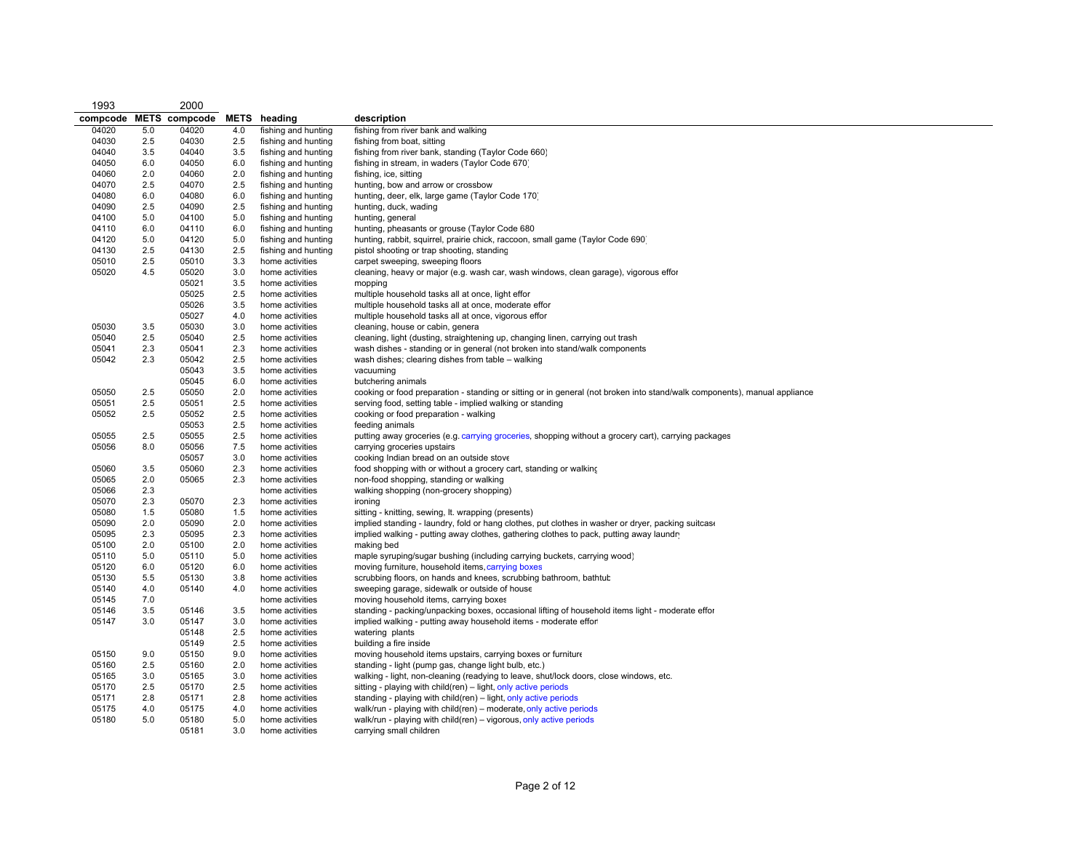| 1993     |     | 2000                 |     |                     |                                                                                                                           |
|----------|-----|----------------------|-----|---------------------|---------------------------------------------------------------------------------------------------------------------------|
| compcode |     | <b>METS</b> compcode |     | <b>METS</b> heading | description                                                                                                               |
| 04020    | 5.0 | 04020                | 4.0 | fishing and hunting | fishing from river bank and walking                                                                                       |
| 04030    | 2.5 | 04030                | 2.5 | fishing and hunting | fishing from boat, sitting                                                                                                |
| 04040    | 3.5 | 04040                | 3.5 | fishing and hunting | fishing from river bank, standing (Taylor Code 660)                                                                       |
| 04050    | 6.0 | 04050                | 6.0 | fishing and hunting | fishing in stream, in waders (Taylor Code 670)                                                                            |
| 04060    | 2.0 | 04060                | 2.0 | fishing and hunting | fishing, ice, sitting                                                                                                     |
| 04070    | 2.5 | 04070                | 2.5 | fishing and hunting | hunting, bow and arrow or crossbow                                                                                        |
| 04080    | 6.0 | 04080                | 6.0 | fishing and hunting | hunting, deer, elk, large game (Taylor Code 170)                                                                          |
| 04090    | 2.5 | 04090                | 2.5 | fishing and hunting | hunting, duck, wading                                                                                                     |
| 04100    | 5.0 | 04100                | 5.0 | fishing and hunting | hunting, general                                                                                                          |
| 04110    | 6.0 | 04110                | 6.0 | fishing and hunting | hunting, pheasants or grouse (Taylor Code 680                                                                             |
| 04120    | 5.0 | 04120                | 5.0 | fishing and hunting | hunting, rabbit, squirrel, prairie chick, raccoon, small game (Taylor Code 690)                                           |
| 04130    | 2.5 | 04130                | 2.5 | fishing and hunting | pistol shooting or trap shooting, standing                                                                                |
| 05010    | 2.5 | 05010                | 3.3 | home activities     | carpet sweeping, sweeping floors                                                                                          |
| 05020    | 4.5 | 05020                | 3.0 | home activities     | cleaning, heavy or major (e.g. wash car, wash windows, clean garage), vigorous effor                                      |
|          |     | 05021                | 3.5 | home activities     | mopping                                                                                                                   |
|          |     | 05025                | 2.5 | home activities     | multiple household tasks all at once, light effor                                                                         |
|          |     | 05026                | 3.5 | home activities     | multiple household tasks all at once, moderate effor                                                                      |
|          |     | 05027                | 4.0 | home activities     | multiple household tasks all at once, vigorous effor                                                                      |
| 05030    | 3.5 | 05030                | 3.0 | home activities     | cleaning, house or cabin, genera                                                                                          |
| 05040    | 2.5 | 05040                | 2.5 | home activities     | cleaning, light (dusting, straightening up, changing linen, carrying out trash                                            |
| 05041    | 2.3 | 05041                | 2.3 | home activities     | wash dishes - standing or in general (not broken into stand/walk components                                               |
| 05042    | 2.3 | 05042                | 2.5 | home activities     | wash dishes; clearing dishes from table - walking                                                                         |
|          |     | 05043                | 3.5 | home activities     | vacuuming                                                                                                                 |
|          |     | 05045                | 6.0 | home activities     | butchering animals                                                                                                        |
| 05050    | 2.5 | 05050                | 2.0 | home activities     | cooking or food preparation - standing or sitting or in general (not broken into stand/walk components), manual appliance |
| 05051    | 2.5 | 05051                | 2.5 | home activities     | serving food, setting table - implied walking or standing                                                                 |
| 05052    | 2.5 | 05052                | 2.5 | home activities     | cooking or food preparation - walking                                                                                     |
|          |     | 05053                | 2.5 | home activities     | feeding animals                                                                                                           |
| 05055    | 2.5 | 05055                | 2.5 | home activities     | putting away groceries (e.g. carrying groceries, shopping without a grocery cart), carrying packages                      |
| 05056    | 8.0 | 05056                | 7.5 | home activities     | carrying groceries upstairs                                                                                               |
|          |     | 05057                | 3.0 | home activities     | cooking Indian bread on an outside stove                                                                                  |
| 05060    | 3.5 | 05060                | 2.3 | home activities     | food shopping with or without a grocery cart, standing or walking                                                         |
| 05065    | 2.0 | 05065                | 2.3 | home activities     | non-food shopping, standing or walking                                                                                    |
| 05066    | 2.3 |                      |     | home activities     | walking shopping (non-grocery shopping)                                                                                   |
| 05070    | 2.3 | 05070                | 2.3 | home activities     | ironing                                                                                                                   |
| 05080    | 1.5 | 05080                | 1.5 | home activities     | sitting - knitting, sewing, lt. wrapping (presents)                                                                       |
| 05090    | 2.0 | 05090                | 2.0 | home activities     | implied standing - laundry, fold or hang clothes, put clothes in washer or dryer, packing suitcase                        |
| 05095    | 2.3 | 05095                | 2.3 | home activities     | implied walking - putting away clothes, gathering clothes to pack, putting away laundn                                    |
| 05100    | 2.0 | 05100                | 2.0 | home activities     | making bed                                                                                                                |
| 05110    | 5.0 | 05110                | 5.0 | home activities     | maple syruping/sugar bushing (including carrying buckets, carrying wood)                                                  |
| 05120    | 6.0 | 05120                | 6.0 | home activities     | moving furniture, household items, carrying boxes                                                                         |
| 05130    | 5.5 | 05130                | 3.8 | home activities     | scrubbing floors, on hands and knees, scrubbing bathroom, bathtub                                                         |
| 05140    | 4.0 | 05140                | 4.0 | home activities     | sweeping garage, sidewalk or outside of house                                                                             |
| 05145    | 7.0 |                      |     | home activities     | moving household items, carrying boxes                                                                                    |
| 05146    | 3.5 | 05146                | 3.5 | home activities     | standing - packing/unpacking boxes, occasional lifting of household items light - moderate effor                          |
| 05147    | 3.0 | 05147                | 3.0 | home activities     | implied walking - putting away household items - moderate effor                                                           |
|          |     | 05148                | 2.5 | home activities     | watering plants                                                                                                           |
|          |     | 05149                | 2.5 | home activities     | building a fire inside                                                                                                    |
| 05150    | 9.0 | 05150                | 9.0 | home activities     | moving household items upstairs, carrying boxes or furniture                                                              |
| 05160    | 2.5 | 05160                | 2.0 | home activities     | standing - light (pump gas, change light bulb, etc.)                                                                      |
| 05165    | 3.0 | 05165                | 3.0 | home activities     | walking - light, non-cleaning (readying to leave, shut/lock doors, close windows, etc.                                    |
| 05170    | 2.5 | 05170                | 2.5 | home activities     | sitting - playing with child(ren) – light, only active periods                                                            |
| 05171    | 2.8 | 05171                | 2.8 | home activities     | standing - playing with child(ren) – light, only active periods                                                           |
| 05175    | 4.0 | 05175                | 4.0 | home activities     | walk/run - playing with child(ren) - moderate, only active periods                                                        |
| 05180    | 5.0 | 05180                | 5.0 | home activities     | walk/run - playing with child(ren) - vigorous, only active periods                                                        |
|          |     | 05181                | 3.0 | home activities     | carrying small children                                                                                                   |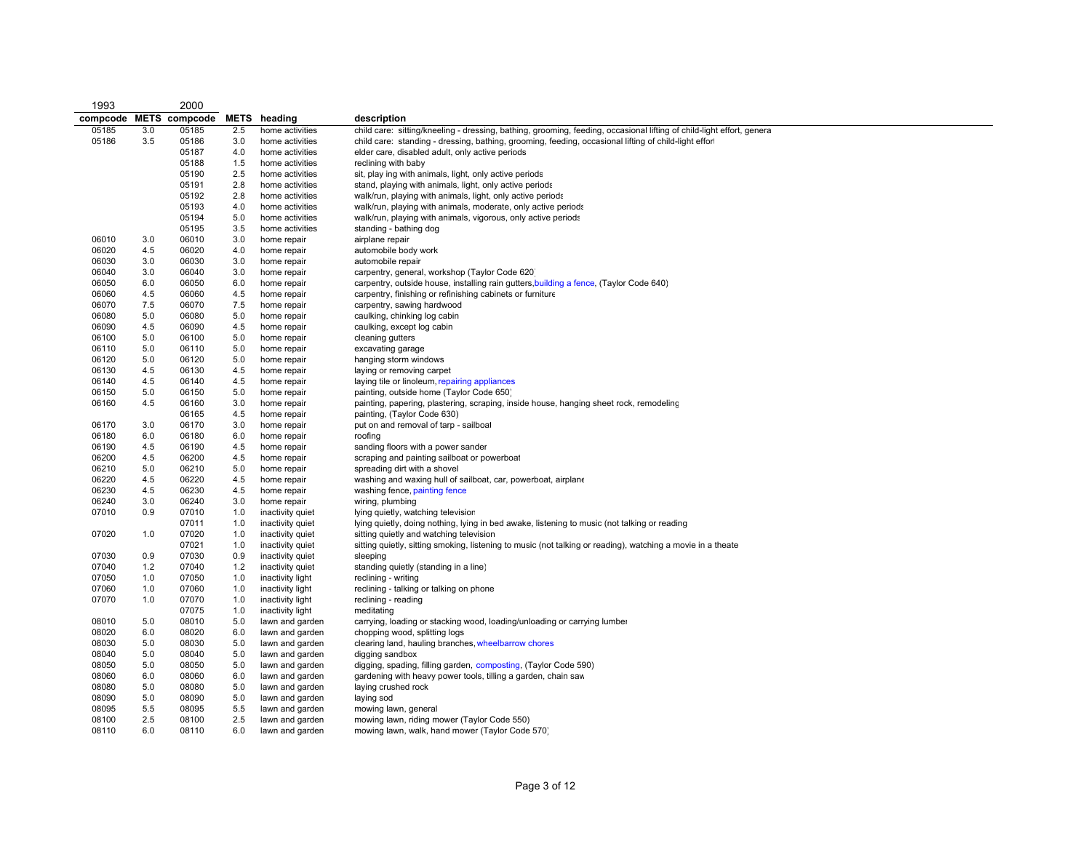| 1993     |       | 2000                 |             |                  |                                                                                                                        |
|----------|-------|----------------------|-------------|------------------|------------------------------------------------------------------------------------------------------------------------|
| compcode |       | <b>METS</b> compcode | <b>METS</b> | heading          | description                                                                                                            |
| 05185    | 3.0   | 05185                | 2.5         | home activities  | child care: sitting/kneeling - dressing, bathing, grooming, feeding, occasional lifting of child-light effort, general |
| 05186    | 3.5   | 05186                | 3.0         | home activities  | child care: standing - dressing, bathing, grooming, feeding, occasional lifting of child-light effor                   |
|          |       | 05187                | 4.0         | home activities  | elder care, disabled adult, only active periods                                                                        |
|          |       | 05188                | 1.5         | home activities  | reclining with baby                                                                                                    |
|          |       | 05190                | 2.5         | home activities  | sit, play ing with animals, light, only active periods                                                                 |
|          |       | 05191                | 2.8         | home activities  | stand, playing with animals, light, only active periods                                                                |
|          |       | 05192                | 2.8         | home activities  | walk/run, playing with animals, light, only active periods                                                             |
|          |       | 05193                | 4.0         | home activities  | walk/run, playing with animals, moderate, only active periods                                                          |
|          |       | 05194                | 5.0         | home activities  | walk/run, playing with animals, vigorous, only active periods                                                          |
|          |       | 05195                | 3.5         | home activities  | standing - bathing dog                                                                                                 |
| 06010    | 3.0   | 06010                | 3.0         | home repair      | airplane repair                                                                                                        |
| 06020    | 4.5   | 06020                | 4.0         | home repair      | automobile body work                                                                                                   |
| 06030    | 3.0   | 06030                | 3.0         | home repair      | automobile repair                                                                                                      |
| 06040    | 3.0   | 06040                | 3.0         | home repair      | carpentry, general, workshop (Taylor Code 620)                                                                         |
| 06050    | 6.0   | 06050                | 6.0         | home repair      | carpentry, outside house, installing rain gutters, building a fence, (Taylor Code 640)                                 |
| 06060    | 4.5   | 06060                | 4.5         | home repair      | carpentry, finishing or refinishing cabinets or furniture                                                              |
| 06070    | 7.5   | 06070                | 7.5         | home repair      | carpentry, sawing hardwood                                                                                             |
| 06080    | 5.0   | 06080                | 5.0         | home repair      | caulking, chinking log cabin                                                                                           |
| 06090    | 4.5   | 06090                | 4.5         | home repair      | caulking, except log cabin                                                                                             |
| 06100    | 5.0   | 06100                | 5.0         | home repair      | cleaning gutters                                                                                                       |
| 06110    | 5.0   | 06110                | 5.0         | home repair      | excavating garage                                                                                                      |
| 06120    | 5.0   | 06120                | 5.0         | home repair      | hanging storm windows                                                                                                  |
| 06130    | 4.5   | 06130                | 4.5         | home repair      | laying or removing carpet                                                                                              |
| 06140    | 4.5   | 06140                | 4.5         | home repair      | laying tile or linoleum, repairing appliances                                                                          |
| 06150    | 5.0   | 06150                | 5.0         | home repair      | painting, outside home (Taylor Code 650)                                                                               |
| 06160    | 4.5   | 06160                | 3.0         | home repair      | painting, papering, plastering, scraping, inside house, hanging sheet rock, remodeling                                 |
|          |       | 06165                | 4.5         | home repair      | painting, (Taylor Code 630)                                                                                            |
| 06170    | 3.0   | 06170                | 3.0         | home repair      | put on and removal of tarp - sailboat                                                                                  |
| 06180    | 6.0   | 06180                | 6.0         | home repair      | roofing                                                                                                                |
| 06190    | 4.5   | 06190                | 4.5         | home repair      | sanding floors with a power sander                                                                                     |
| 06200    | 4.5   | 06200                | 4.5         | home repair      | scraping and painting sailboat or powerboat                                                                            |
| 06210    | 5.0   | 06210                | 5.0         | home repair      | spreading dirt with a shovel                                                                                           |
| 06220    | 4.5   | 06220                | 4.5         | home repair      | washing and waxing hull of sailboat, car, powerboat, airplane                                                          |
| 06230    | 4.5   | 06230                | 4.5         | home repair      | washing fence, painting fence                                                                                          |
| 06240    | 3.0   | 06240                | 3.0         | home repair      | wiring, plumbing                                                                                                       |
| 07010    | 0.9   | 07010                | 1.0         | inactivity quiet | lying quietly, watching television                                                                                     |
|          |       | 07011                | 1.0         | inactivity quiet | lying quietly, doing nothing, lying in bed awake, listening to music (not talking or reading                           |
| 07020    | 1.0   | 07020                | 1.0         | inactivity quiet | sitting quietly and watching television                                                                                |
|          |       | 07021                | 1.0         | inactivity quiet | sitting quietly, sitting smoking, listening to music (not talking or reading), watching a movie in a theate            |
| 07030    | 0.9   | 07030                | 0.9         | inactivity quiet | sleeping                                                                                                               |
| 07040    | $1.2$ | 07040                | $1.2$       | inactivity quiet | standing quietly (standing in a line)                                                                                  |
| 07050    | 1.0   | 07050                | 1.0         | inactivity light | reclining - writing                                                                                                    |
| 07060    | 1.0   | 07060                | 1.0         | inactivity light | reclining - talking or talking on phone                                                                                |
| 07070    | 1.0   | 07070                | 1.0         | inactivity light | reclining - reading                                                                                                    |
|          |       | 07075                | 1.0         | inactivity light | meditating                                                                                                             |
| 08010    | 5.0   | 08010                | 5.0         | lawn and garden  | carrying, loading or stacking wood, loading/unloading or carrying lumber                                               |
| 08020    | 6.0   | 08020                | 6.0         | lawn and garden  | chopping wood, splitting logs                                                                                          |
| 08030    | 5.0   | 08030                | 5.0         | lawn and garden  | clearing land, hauling branches, wheelbarrow chores                                                                    |
| 08040    | 5.0   | 08040                | 5.0         | lawn and garden  | digging sandbox                                                                                                        |
| 08050    | 5.0   | 08050                | 5.0         | lawn and garden  | digging, spading, filling garden, composting, (Taylor Code 590)                                                        |
| 08060    | 6.0   | 08060                | 6.0         | lawn and garden  | gardening with heavy power tools, tilling a garden, chain saw                                                          |
| 08080    | 5.0   | 08080                | 5.0         | lawn and garden  | laying crushed rock                                                                                                    |
| 08090    | 5.0   | 08090                | 5.0         | lawn and garden  | laying sod                                                                                                             |
| 08095    | 5.5   | 08095                | 5.5         | lawn and garden  | mowing lawn, general                                                                                                   |
| 08100    | 2.5   | 08100                | 2.5         | lawn and garden  | mowing lawn, riding mower (Taylor Code 550)                                                                            |
| 08110    | 6.0   | 08110                | 6.0         | lawn and garden  | mowing lawn, walk, hand mower (Taylor Code 570)                                                                        |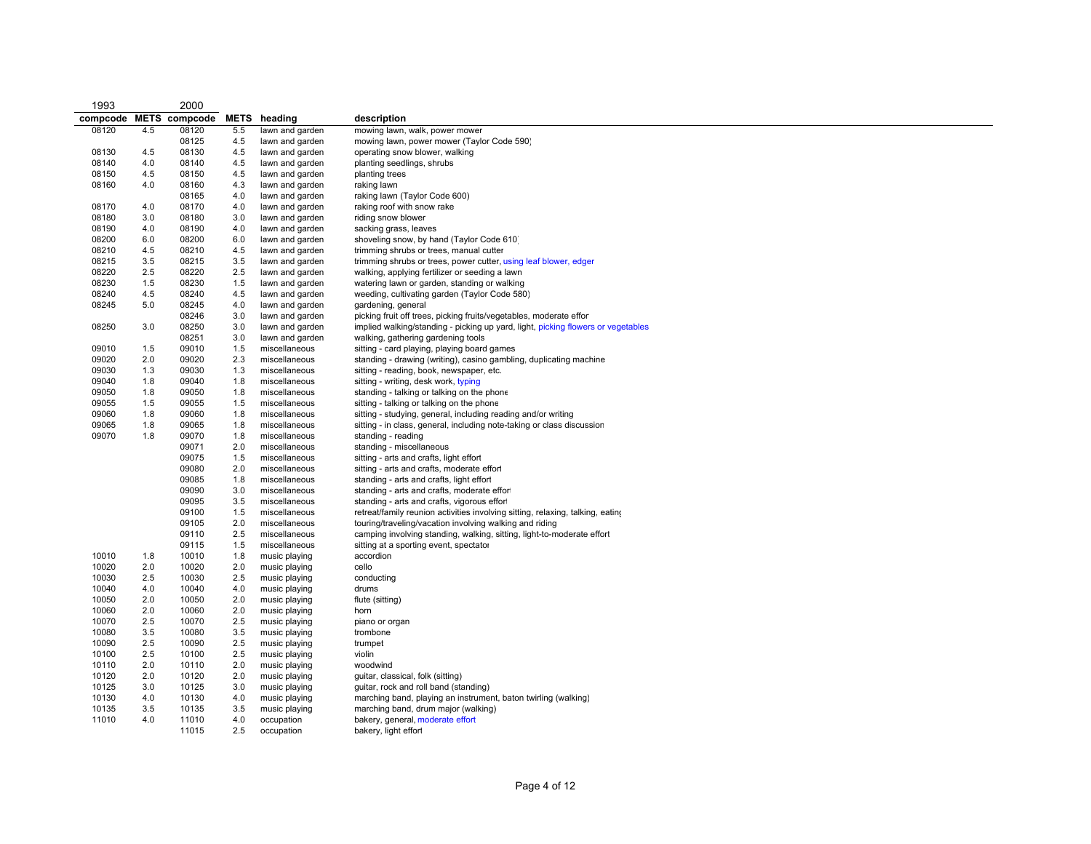| 1993     |             | 2000           |            |                                |                                                                                       |
|----------|-------------|----------------|------------|--------------------------------|---------------------------------------------------------------------------------------|
| compcode | <b>METS</b> | compcode       |            | METS heading                   | description                                                                           |
| 08120    | 4.5         | 08120          | 5.5        | lawn and garden                | mowing lawn, walk, power mower                                                        |
|          |             | 08125          | 4.5        | lawn and garden                | mowing lawn, power mower (Taylor Code 590)                                            |
| 08130    | 4.5         | 08130          | 4.5        | lawn and garden                | operating snow blower, walking                                                        |
| 08140    | 4.0         | 08140          | 4.5        | lawn and garden                | planting seedlings, shrubs                                                            |
| 08150    | 4.5         | 08150          | 4.5        | lawn and garden                | planting trees                                                                        |
| 08160    | 4.0         | 08160          | 4.3        | lawn and garden                | raking lawn                                                                           |
|          |             | 08165          | 4.0        | lawn and garden                | raking lawn (Taylor Code 600)                                                         |
| 08170    | 4.0         | 08170          | 4.0        | lawn and garden                | raking roof with snow rake                                                            |
| 08180    | 3.0         | 08180          | 3.0        | lawn and garden                | riding snow blower                                                                    |
| 08190    | 4.0         | 08190          | 4.0        | lawn and garden                | sacking grass, leaves                                                                 |
| 08200    | 6.0         | 08200          | 6.0        | lawn and garden                | shoveling snow, by hand (Taylor Code 610)                                             |
| 08210    | 4.5         | 08210          | 4.5        | lawn and garden                | trimming shrubs or trees, manual cutter                                               |
| 08215    | 3.5         | 08215          | 3.5        | lawn and garden                | trimming shrubs or trees, power cutter, using leaf blower, edger                      |
| 08220    | 2.5         | 08220          | 2.5        | lawn and garden                | walking, applying fertilizer or seeding a lawn                                        |
| 08230    | 1.5         | 08230          | 1.5        | lawn and garden                | watering lawn or garden, standing or walking                                          |
| 08240    | 4.5         | 08240          | 4.5        | lawn and garden                | weeding, cultivating garden (Taylor Code 580)                                         |
| 08245    | 5.0         | 08245          | 4.0        | lawn and garden                | gardening, general                                                                    |
|          |             | 08246          | 3.0        | lawn and garden                | picking fruit off trees, picking fruits/vegetables, moderate effor                    |
| 08250    | 3.0         | 08250          | 3.0        | lawn and garden                | implied walking/standing - picking up yard, light, picking flowers or vegetables      |
|          |             | 08251          | 3.0        | lawn and garden                | walking, gathering gardening tools                                                    |
| 09010    | 1.5         | 09010          | 1.5        | miscellaneous                  | sitting - card playing, playing board games                                           |
| 09020    | 2.0         | 09020          | 2.3        | miscellaneous                  | standing - drawing (writing), casino gambling, duplicating machine                    |
| 09030    | 1.3         | 09030          | 1.3        | miscellaneous                  | sitting - reading, book, newspaper, etc.                                              |
| 09040    | 1.8         | 09040          | 1.8        | miscellaneous                  | sitting - writing, desk work, typing                                                  |
| 09050    | 1.8         | 09050          | 1.8        | miscellaneous                  | standing - talking or talking on the phone                                            |
| 09055    | 1.5         | 09055          | 1.5        | miscellaneous                  | sitting - talking or talking on the phone                                             |
| 09060    | 1.8         | 09060          | 1.8        | miscellaneous                  | sitting - studying, general, including reading and/or writing                         |
| 09065    | 1.8         | 09065          | 1.8        | miscellaneous                  | sitting - in class, general, including note-taking or class discussion                |
| 09070    | 1.8         | 09070          | 1.8        | miscellaneous                  | standing - reading                                                                    |
|          |             | 09071<br>09075 | 2.0<br>1.5 | miscellaneous<br>miscellaneous | standing - miscellaneous                                                              |
|          |             | 09080          | 2.0        | miscellaneous                  | sitting - arts and crafts, light effort<br>sitting - arts and crafts, moderate effort |
|          |             | 09085          | 1.8        | miscellaneous                  | standing - arts and crafts, light effort                                              |
|          |             | 09090          | 3.0        | miscellaneous                  | standing - arts and crafts, moderate efforl                                           |
|          |             | 09095          | 3.5        | miscellaneous                  | standing - arts and crafts, vigorous effort                                           |
|          |             | 09100          | 1.5        | miscellaneous                  | retreat/family reunion activities involving sitting, relaxing, talking, eating        |
|          |             | 09105          | 2.0        | miscellaneous                  | touring/traveling/vacation involving walking and riding                               |
|          |             | 09110          | 2.5        | miscellaneous                  | camping involving standing, walking, sitting, light-to-moderate effort                |
|          |             | 09115          | 1.5        | miscellaneous                  | sitting at a sporting event, spectator                                                |
| 10010    | 1.8         | 10010          | 1.8        | music playing                  | accordion                                                                             |
| 10020    | 2.0         | 10020          | 2.0        | music playing                  | cello                                                                                 |
| 10030    | 2.5         | 10030          | 2.5        | music playing                  | conducting                                                                            |
| 10040    | 4.0         | 10040          | 4.0        | music playing                  | drums                                                                                 |
| 10050    | 2.0         | 10050          | 2.0        | music playing                  | flute (sitting)                                                                       |
| 10060    | 2.0         | 10060          | 2.0        | music playing                  | horn                                                                                  |
| 10070    | 2.5         | 10070          | 2.5        | music playing                  | piano or organ                                                                        |
| 10080    | 3.5         | 10080          | 3.5        | music playing                  | trombone                                                                              |
| 10090    | 2.5         | 10090          | 2.5        | music playing                  | trumpet                                                                               |
| 10100    | 2.5         | 10100          | 2.5        | music playing                  | violin                                                                                |
| 10110    | 2.0         | 10110          | 2.0        | music playing                  | woodwind                                                                              |
| 10120    | 2.0         | 10120          | 2.0        | music playing                  | guitar, classical, folk (sitting)                                                     |
| 10125    | 3.0         | 10125          | 3.0        | music playing                  | guitar, rock and roll band (standing)                                                 |
| 10130    | 4.0         | 10130          | 4.0        | music playing                  | marching band, playing an instrument, baton twirling (walking)                        |
| 10135    | 3.5         | 10135          | 3.5        | music playing                  | marching band, drum major (walking)                                                   |
| 11010    | 4.0         | 11010          | 4.0        | occupation                     | bakery, general, moderate effort                                                      |
|          |             | 11015          | 2.5        | occupation                     | bakery, light effort                                                                  |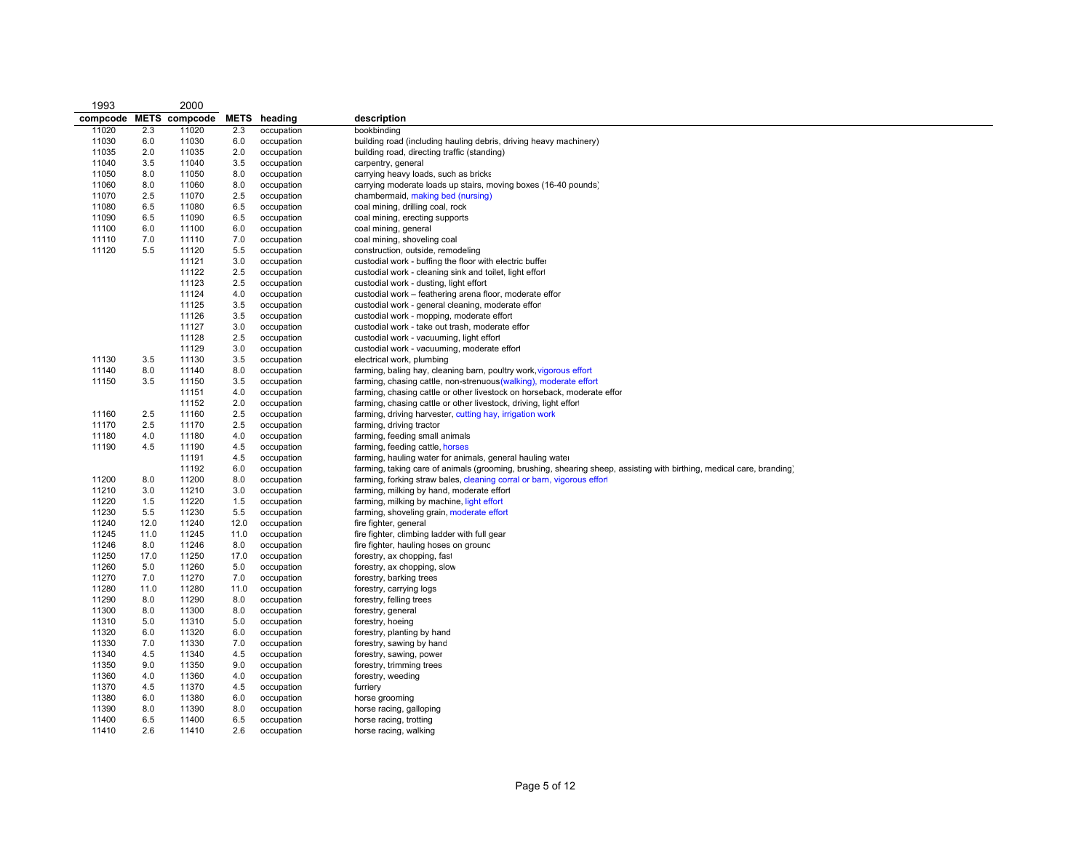| 1993     |      | 2000                 |      |              |                                                                                                                       |
|----------|------|----------------------|------|--------------|-----------------------------------------------------------------------------------------------------------------------|
| compcode |      | <b>METS</b> compcode |      | METS heading | description                                                                                                           |
| 11020    | 2.3  | 11020                | 2.3  | occupation   | bookbinding                                                                                                           |
| 11030    | 6.0  | 11030                | 6.0  | occupation   | building road (including hauling debris, driving heavy machinery)                                                     |
| 11035    | 2.0  | 11035                | 2.0  | occupation   | building road, directing traffic (standing)                                                                           |
| 11040    | 3.5  | 11040                | 3.5  | occupation   | carpentry, general                                                                                                    |
| 11050    | 8.0  | 11050                | 8.0  | occupation   | carrying heavy loads, such as bricks                                                                                  |
| 11060    | 8.0  | 11060                | 8.0  | occupation   | carrying moderate loads up stairs, moving boxes (16-40 pounds)                                                        |
| 11070    | 2.5  | 11070                | 2.5  | occupation   | chambermaid, making bed (nursing)                                                                                     |
| 11080    | 6.5  | 11080                | 6.5  | occupation   | coal mining, drilling coal, rock                                                                                      |
| 11090    | 6.5  | 11090                | 6.5  | occupation   | coal mining, erecting supports                                                                                        |
| 11100    | 6.0  | 11100                | 6.0  | occupation   | coal mining, general                                                                                                  |
| 11110    | 7.0  | 11110                | 7.0  | occupation   | coal mining, shoveling coal                                                                                           |
| 11120    | 5.5  | 11120                | 5.5  | occupation   | construction, outside, remodeling                                                                                     |
|          |      | 11121                | 3.0  | occupation   | custodial work - buffing the floor with electric buffer                                                               |
|          |      | 11122                | 2.5  | occupation   | custodial work - cleaning sink and toilet, light effor                                                                |
|          |      | 11123                | 2.5  | occupation   | custodial work - dusting, light effort                                                                                |
|          |      | 11124                | 4.0  | occupation   | custodial work - feathering arena floor, moderate effor                                                               |
|          |      | 11125                | 3.5  | occupation   | custodial work - general cleaning, moderate efforl                                                                    |
|          |      | 11126                | 3.5  | occupation   | custodial work - mopping, moderate effort                                                                             |
|          |      | 11127                | 3.0  | occupation   | custodial work - take out trash, moderate effor                                                                       |
|          |      | 11128                | 2.5  | occupation   | custodial work - vacuuming, light effort                                                                              |
|          |      | 11129                | 3.0  | occupation   | custodial work - vacuuming, moderate effort                                                                           |
| 11130    | 3.5  | 11130                | 3.5  | occupation   | electrical work, plumbing                                                                                             |
| 11140    | 8.0  | 11140                | 8.0  | occupation   | farming, baling hay, cleaning barn, poultry work, vigorous effort                                                     |
| 11150    | 3.5  | 11150                | 3.5  | occupation   | farming, chasing cattle, non-strenuous (walking), moderate effort                                                     |
|          |      | 11151                | 4.0  | occupation   | farming, chasing cattle or other livestock on horseback, moderate effor                                               |
|          |      | 11152                | 2.0  | occupation   | farming, chasing cattle or other livestock, driving, light effor                                                      |
| 11160    | 2.5  | 11160                | 2.5  | occupation   | farming, driving harvester, cutting hay, irrigation work                                                              |
| 11170    | 2.5  | 11170                | 2.5  | occupation   | farming, driving tractor                                                                                              |
| 11180    | 4.0  | 11180                | 4.0  | occupation   | farming, feeding small animals                                                                                        |
| 11190    | 4.5  | 11190                | 4.5  | occupation   | farming, feeding cattle, horses                                                                                       |
|          |      | 11191                | 4.5  | occupation   | farming, hauling water for animals, general hauling water                                                             |
|          |      | 11192                | 6.0  | occupation   | farming, taking care of animals (grooming, brushing, shearing sheep, assisting with birthing, medical care, branding) |
| 11200    | 8.0  | 11200                | 8.0  | occupation   | farming, forking straw bales, cleaning corral or barn, vigorous effort                                                |
| 11210    | 3.0  | 11210                | 3.0  | occupation   | farming, milking by hand, moderate effort                                                                             |
| 11220    | 1.5  | 11220                | 1.5  | occupation   | farming, milking by machine, light effort                                                                             |
| 11230    | 5.5  | 11230                | 5.5  | occupation   | farming, shoveling grain, moderate effort                                                                             |
| 11240    | 12.0 | 11240                | 12.0 | occupation   | fire fighter, general                                                                                                 |
| 11245    | 11.0 | 11245                | 11.0 | occupation   | fire fighter, climbing ladder with full gear                                                                          |
| 11246    | 8.0  | 11246                | 8.0  | occupation   | fire fighter, hauling hoses on ground                                                                                 |
| 11250    | 17.0 | 11250                | 17.0 | occupation   | forestry, ax chopping, fast                                                                                           |
| 11260    | 5.0  | 11260                | 5.0  | occupation   | forestry, ax chopping, slow                                                                                           |
| 11270    | 7.0  | 11270                | 7.0  | occupation   | forestry, barking trees                                                                                               |
| 11280    | 11.0 | 11280                | 11.0 | occupation   | forestry, carrying logs                                                                                               |
| 11290    | 8.0  | 11290                | 8.0  | occupation   | forestry, felling trees                                                                                               |
| 11300    | 8.0  | 11300                | 8.0  | occupation   | forestry, general                                                                                                     |
| 11310    | 5.0  | 11310                | 5.0  | occupation   | forestry, hoeing                                                                                                      |
| 11320    | 6.0  | 11320                | 6.0  | occupation   | forestry, planting by hand                                                                                            |
| 11330    | 7.0  | 11330                | 7.0  | occupation   | forestry, sawing by hand                                                                                              |
| 11340    | 4.5  | 11340                | 4.5  | occupation   | forestry, sawing, power                                                                                               |
| 11350    | 9.0  | 11350                | 9.0  | occupation   | forestry, trimming trees                                                                                              |
| 11360    | 4.0  | 11360                | 4.0  | occupation   | forestry, weeding                                                                                                     |
| 11370    | 4.5  | 11370                | 4.5  | occupation   | furriery                                                                                                              |
| 11380    | 6.0  | 11380                | 6.0  | occupation   | horse grooming                                                                                                        |
| 11390    | 8.0  | 11390                | 8.0  | occupation   | horse racing, galloping                                                                                               |
| 11400    | 6.5  | 11400                | 6.5  | occupation   | horse racing, trotting                                                                                                |
| 11410    | 2.6  | 11410                | 2.6  | occupation   | horse racing, walking                                                                                                 |
|          |      |                      |      |              |                                                                                                                       |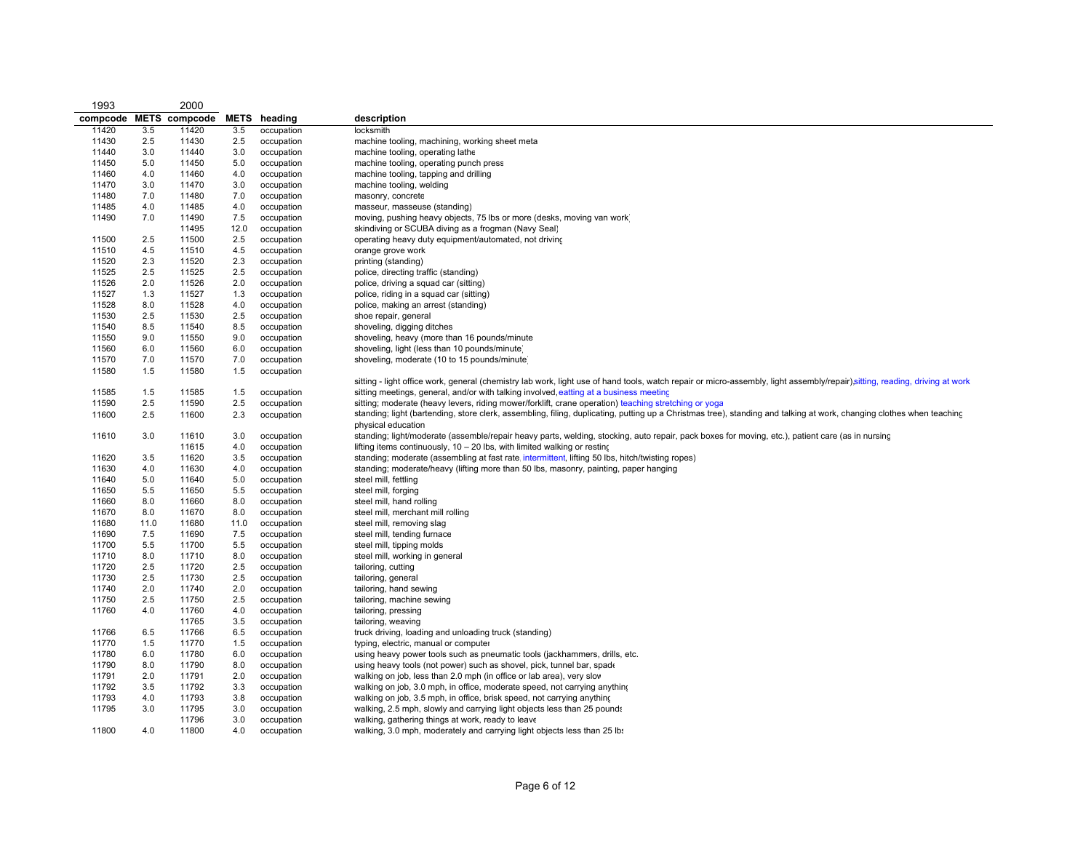| 1993           |            | 2000                 |            |                          |                                                                                                                                                                              |
|----------------|------------|----------------------|------------|--------------------------|------------------------------------------------------------------------------------------------------------------------------------------------------------------------------|
| compcode       |            | <b>METS</b> compcode | METS       | heading                  | description                                                                                                                                                                  |
| 11420          | 3.5        | 11420                | 3.5        | occupation               | locksmith                                                                                                                                                                    |
| 11430          | 2.5        | 11430                | 2.5        | occupation               | machine tooling, machining, working sheet meta                                                                                                                               |
| 11440          | 3.0        | 11440                | 3.0        | occupation               | machine tooling, operating lathe                                                                                                                                             |
| 11450          | 5.0        | 11450                | 5.0        | occupation               | machine tooling, operating punch press                                                                                                                                       |
| 11460          | 4.0        | 11460                | 4.0        | occupation               | machine tooling, tapping and drilling                                                                                                                                        |
| 11470          | 3.0        | 11470                | 3.0        | occupation               | machine tooling, welding                                                                                                                                                     |
| 11480          | 7.0        | 11480                | 7.0        | occupation               | masonry, concrete                                                                                                                                                            |
| 11485          | 4.0        | 11485                | 4.0        | occupation               | masseur, masseuse (standing)                                                                                                                                                 |
| 11490          | 7.0        | 11490                | 7.5        | occupation               | moving, pushing heavy objects, 75 lbs or more (desks, moving van work)                                                                                                       |
|                |            | 11495                | 12.0       | occupation               | skindiving or SCUBA diving as a frogman (Navy Seal)                                                                                                                          |
| 11500          | 2.5        | 11500                | 2.5        | occupation               | operating heavy duty equipment/automated, not driving                                                                                                                        |
| 11510          | 4.5        | 11510                | 4.5        | occupation               | orange grove work                                                                                                                                                            |
| 11520          | 2.3        | 11520                | 2.3        | occupation               | printing (standing)                                                                                                                                                          |
| 11525          | 2.5        | 11525                | 2.5        | occupation               | police, directing traffic (standing)                                                                                                                                         |
| 11526          | 2.0        | 11526                | 2.0        | occupation               | police, driving a squad car (sitting)                                                                                                                                        |
| 11527          | 1.3        | 11527                | 1.3        | occupation               | police, riding in a squad car (sitting)                                                                                                                                      |
| 11528          | 8.0        | 11528                | 4.0        | occupation               | police, making an arrest (standing)<br>shoe repair, general                                                                                                                  |
| 11530          | 2.5        | 11530                | 2.5        | occupation               | shoveling, digging ditches                                                                                                                                                   |
| 11540<br>11550 | 8.5        | 11540<br>11550       | 8.5        | occupation               | shoveling, heavy (more than 16 pounds/minute                                                                                                                                 |
| 11560          | 9.0<br>6.0 | 11560                | 9.0<br>6.0 | occupation<br>occupation | shoveling, light (less than 10 pounds/minute)                                                                                                                                |
| 11570          | 7.0        | 11570                | 7.0        | occupation               | shoveling, moderate (10 to 15 pounds/minute)                                                                                                                                 |
| 11580          | 1.5        | 11580                | 1.5        | occupation               |                                                                                                                                                                              |
|                |            |                      |            |                          | sitting - light office work, general (chemistry lab work, light use of hand tools, watch repair or micro-assembly, light assembly/repair), sitting, reading, driving at work |
| 11585          | 1.5        | 11585                | 1.5        | occupation               | sitting meetings, general, and/or with talking involved, eatting at a business meeting                                                                                       |
| 11590          | 2.5        | 11590                | 2.5        | occupation               | sitting; moderate (heavy levers, riding mower/forklift, crane operation) teaching stretching or yoga                                                                         |
| 11600          | 2.5        | 11600                | 2.3        | occupation               | standing; light (bartending, store clerk, assembling, filing, duplicating, putting up a Christmas tree), standing and talking at work, changing clothes when teaching        |
|                |            |                      |            |                          | physical education                                                                                                                                                           |
| 11610          | 3.0        | 11610                | 3.0        | occupation               | standing; light/moderate (assemble/repair heavy parts, welding, stocking, auto repair, pack boxes for moving, etc.), patient care (as in nursing                             |
|                |            | 11615                | 4.0        | occupation               | lifting items continuously, $10 - 20$ lbs, with limited walking or resting                                                                                                   |
| 11620          | 3.5        | 11620                | 3.5        | occupation               | standing; moderate (assembling at fast rate intermittent, lifting 50 lbs, hitch/twisting ropes)                                                                              |
| 11630          | 4.0        | 11630                | 4.0        | occupation               | standing; moderate/heavy (lifting more than 50 lbs, masonry, painting, paper hanging                                                                                         |
| 11640          | 5.0        | 11640                | 5.0        | occupation               | steel mill, fettling                                                                                                                                                         |
| 11650          | 5.5        | 11650                | 5.5        | occupation               | steel mill, forging                                                                                                                                                          |
| 11660          | 8.0        | 11660                | 8.0        | occupation               | steel mill, hand rolling                                                                                                                                                     |
| 11670          | 8.0        | 11670                | 8.0        | occupation               | steel mill, merchant mill rolling                                                                                                                                            |
| 11680          | 11.0       | 11680                | 11.0       | occupation               | steel mill, removing slag                                                                                                                                                    |
| 11690          | 7.5        | 11690                | 7.5        | occupation               | steel mill, tending furnace                                                                                                                                                  |
| 11700          | 5.5        | 11700                | 5.5        | occupation               | steel mill, tipping molds                                                                                                                                                    |
| 11710          | 8.0        | 11710                | 8.0        | occupation               | steel mill, working in general                                                                                                                                               |
| 11720          | 2.5        | 11720                | 2.5        | occupation               | tailoring, cutting                                                                                                                                                           |
| 11730          | 2.5        | 11730                | 2.5        | occupation               | tailoring, general                                                                                                                                                           |
| 11740          | 2.0        | 11740                | 2.0        | occupation               | tailoring, hand sewing                                                                                                                                                       |
| 11750          | 2.5        | 11750                | 2.5        | occupation               | tailoring, machine sewing                                                                                                                                                    |
| 11760          | 4.0        | 11760                | 4.0        | occupation               | tailoring, pressing                                                                                                                                                          |
|                |            | 11765                | 3.5        | occupation               | tailoring, weaving                                                                                                                                                           |
| 11766          | 6.5        | 11766                | 6.5        | occupation               | truck driving, loading and unloading truck (standing)                                                                                                                        |
| 11770          | 1.5        | 11770                | 1.5        | occupation               | typing, electric, manual or computer                                                                                                                                         |
| 11780          | 6.0        | 11780                | 6.0        | occupation               | using heavy power tools such as pneumatic tools (jackhammers, drills, etc.                                                                                                   |
| 11790          | 8.0        | 11790                | 8.0        | occupation               | using heavy tools (not power) such as shovel, pick, tunnel bar, spade                                                                                                        |
| 11791          | 2.0        | 11791                | 2.0        | occupation               | walking on job, less than 2.0 mph (in office or lab area), very slow                                                                                                         |
| 11792          | 3.5        | 11792                | 3.3        | occupation               | walking on job, 3.0 mph, in office, moderate speed, not carrying anything                                                                                                    |
| 11793          | 4.0        | 11793                | 3.8        | occupation               | walking on job, 3.5 mph, in office, brisk speed, not carrying anything                                                                                                       |
| 11795          | 3.0        | 11795<br>11796       | 3.0<br>3.0 | occupation<br>occupation | walking, 2.5 mph, slowly and carrying light objects less than 25 pounds<br>walking, gathering things at work, ready to leave                                                 |
| 11800          | 4.0        | 11800                | 4.0        | occupation               | walking, 3.0 mph, moderately and carrying light objects less than 25 lbs                                                                                                     |
|                |            |                      |            |                          |                                                                                                                                                                              |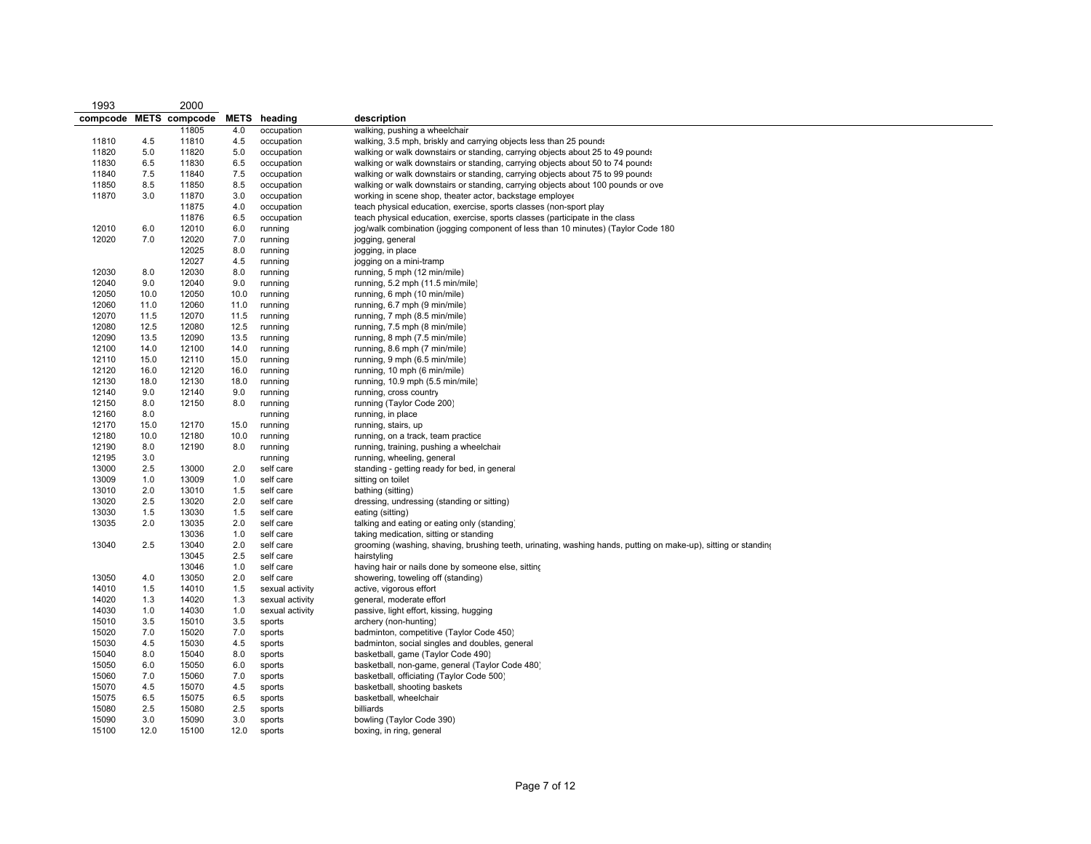| 1993           |            | 2000                 |             |                                    |                                                                                                                |
|----------------|------------|----------------------|-------------|------------------------------------|----------------------------------------------------------------------------------------------------------------|
| compcode       |            | <b>METS</b> compcode | <b>METS</b> | heading                            | description                                                                                                    |
|                |            | 11805                | 4.0         | occupation                         | walking, pushing a wheelchair                                                                                  |
| 11810          | 4.5        | 11810                | 4.5         | occupation                         | walking, 3.5 mph, briskly and carrying objects less than 25 pounds                                             |
| 11820          | 5.0        | 11820                | 5.0         | occupation                         | walking or walk downstairs or standing, carrying objects about 25 to 49 pounds                                 |
| 11830          | 6.5        | 11830                | 6.5         | occupation                         | walking or walk downstairs or standing, carrying objects about 50 to 74 pounds                                 |
| 11840          | 7.5        | 11840                | 7.5         | occupation                         | walking or walk downstairs or standing, carrying objects about 75 to 99 pounds                                 |
| 11850          | 8.5        | 11850                | 8.5         | occupation                         | walking or walk downstairs or standing, carrying objects about 100 pounds or ove                               |
| 11870          | 3.0        | 11870                | 3.0         | occupation                         | working in scene shop, theater actor, backstage employer                                                       |
|                |            | 11875                | 4.0         | occupation                         | teach physical education, exercise, sports classes (non-sport play                                             |
|                |            | 11876                | 6.5         | occupation                         | teach physical education, exercise, sports classes (participate in the class                                   |
| 12010          | 6.0        | 12010                | 6.0         | running                            | jog/walk combination (jogging component of less than 10 minutes) (Taylor Code 180                              |
| 12020          | 7.0        | 12020                | 7.0         | running                            | jogging, general                                                                                               |
|                |            | 12025                | 8.0         | running                            | jogging, in place                                                                                              |
|                |            | 12027                | 4.5         | running                            | jogging on a mini-tramp                                                                                        |
| 12030          | 8.0        | 12030                | 8.0         | running                            | running, 5 mph (12 min/mile)                                                                                   |
| 12040          | 9.0        | 12040                | 9.0         | running                            | running, 5.2 mph (11.5 min/mile)                                                                               |
| 12050          | 10.0       | 12050                | 10.0        | running                            | running, 6 mph (10 min/mile)                                                                                   |
| 12060          | 11.0       | 12060                | 11.0        | running                            | running, 6.7 mph (9 min/mile)                                                                                  |
| 12070          | 11.5       | 12070                | 11.5        | running                            | running, 7 mph (8.5 min/mile)                                                                                  |
| 12080          | 12.5       | 12080                | 12.5        | running                            | running, 7.5 mph (8 min/mile)                                                                                  |
| 12090          | 13.5       | 12090                | 13.5        | running                            | running, 8 mph (7.5 min/mile)                                                                                  |
| 12100          | 14.0       | 12100                | 14.0        | running                            | running, 8.6 mph (7 min/mile)                                                                                  |
| 12110          | 15.0       | 12110                | 15.0        | running                            | running, 9 mph (6.5 min/mile)                                                                                  |
| 12120          | 16.0       | 12120                | 16.0        | running                            | running, 10 mph (6 min/mile)                                                                                   |
| 12130          | 18.0       | 12130                | 18.0        | running                            | running, 10.9 mph (5.5 min/mile)                                                                               |
| 12140          | 9.0        | 12140                | 9.0         | running                            | running, cross country                                                                                         |
| 12150          | 8.0        | 12150                | 8.0         | running                            | running (Taylor Code 200)                                                                                      |
| 12160          | 8.0        |                      |             | running                            | running, in place                                                                                              |
| 12170          | 15.0       | 12170                | 15.0        | running                            | running, stairs, up                                                                                            |
| 12180          | 10.0       | 12180                | 10.0        | running                            | running, on a track, team practice                                                                             |
| 12190          | 8.0        | 12190                | 8.0         | running                            | running, training, pushing a wheelchair                                                                        |
| 12195          | 3.0        |                      |             | running                            | running, wheeling, general                                                                                     |
| 13000          | 2.5        | 13000                | 2.0         | self care                          | standing - getting ready for bed, in general                                                                   |
| 13009          | 1.0        | 13009                | 1.0         | self care                          | sitting on toilet                                                                                              |
| 13010          | 2.0        | 13010                | 1.5         | self care                          | bathing (sitting)                                                                                              |
| 13020          | 2.5        | 13020                | 2.0         | self care                          | dressing, undressing (standing or sitting)                                                                     |
| 13030          | 1.5        | 13030                | 1.5         | self care                          | eating (sitting)                                                                                               |
| 13035          | 2.0        | 13035                | 2.0         | self care                          | talking and eating or eating only (standing)                                                                   |
|                |            | 13036                | 1.0         | self care                          | taking medication, sitting or standing                                                                         |
| 13040          | 2.5        | 13040                | 2.0         | self care                          | grooming (washing, shaving, brushing teeth, urinating, washing hands, putting on make-up), sitting or standing |
|                |            | 13045                | 2.5         | self care                          | hairstyling                                                                                                    |
| 13050          | 4.0        | 13046                | 1.0         | self care<br>self care             | having hair or nails done by someone else, sitting                                                             |
|                |            | 13050                | 2.0         |                                    | showering, toweling off (standing)                                                                             |
| 14010          | 1.5        | 14010                | 1.5         | sexual activity                    | active, vigorous effort                                                                                        |
| 14020<br>14030 | 1.3<br>1.0 | 14020<br>14030       | 1.3<br>1.0  | sexual activity<br>sexual activity | general, moderate effort<br>passive, light effort, kissing, hugging                                            |
| 15010          | 3.5        | 15010                | 3.5         | sports                             | archery (non-hunting)                                                                                          |
| 15020          | 7.0        | 15020                | 7.0         | sports                             | badminton, competitive (Taylor Code 450)                                                                       |
| 15030          | 4.5        | 15030                | 4.5         | sports                             | badminton, social singles and doubles, general                                                                 |
| 15040          | 8.0        | 15040                | 8.0         | sports                             | basketball, game (Taylor Code 490)                                                                             |
| 15050          | 6.0        | 15050                | 6.0         | sports                             | basketball, non-game, general (Taylor Code 480)                                                                |
| 15060          | 7.0        | 15060                | 7.0         | sports                             | basketball, officiating (Taylor Code 500)                                                                      |
| 15070          | 4.5        | 15070                | 4.5         | sports                             | basketball, shooting baskets                                                                                   |
| 15075          | 6.5        | 15075                | 6.5         | sports                             | basketball, wheelchair                                                                                         |
| 15080          | 2.5        | 15080                | 2.5         | sports                             | billiards                                                                                                      |
| 15090          | 3.0        | 15090                | 3.0         | sports                             | bowling (Taylor Code 390)                                                                                      |
| 15100          | 12.0       | 15100                | 12.0        | sports                             | boxing, in ring, general                                                                                       |
|                |            |                      |             |                                    |                                                                                                                |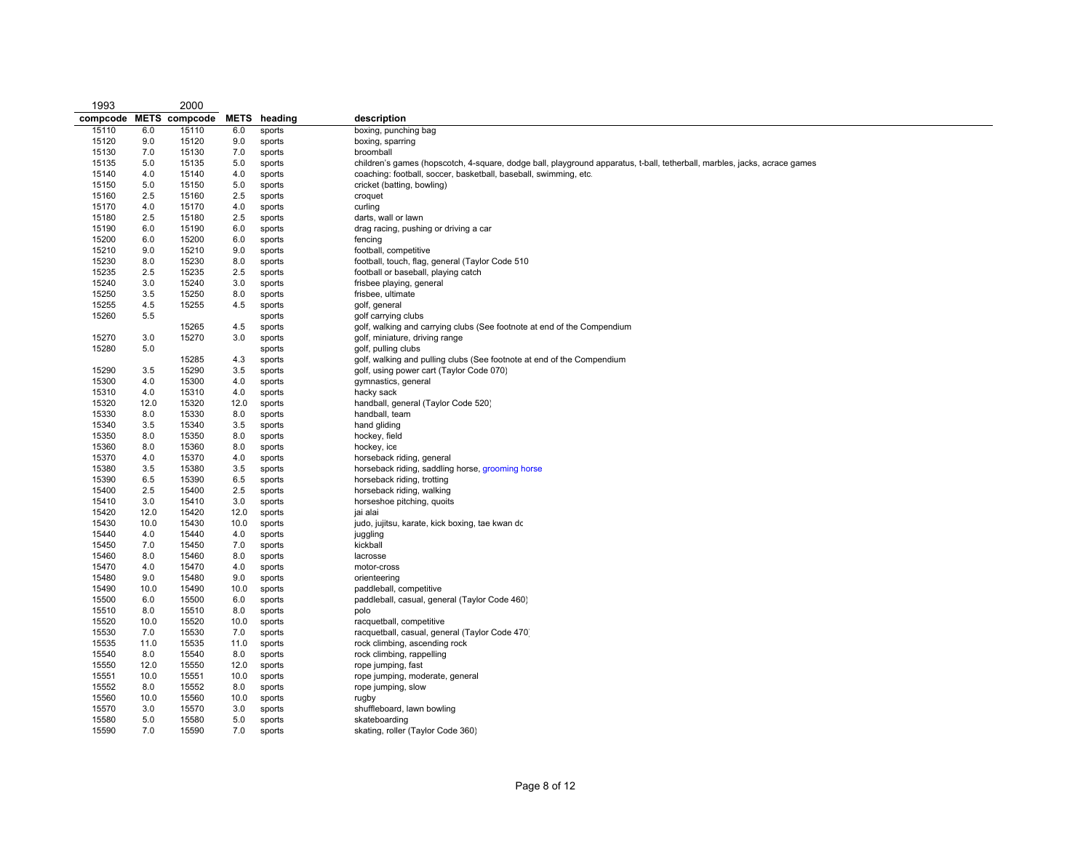| 1993           |            | 2000                 |            |                  |                                                                                                                           |
|----------------|------------|----------------------|------------|------------------|---------------------------------------------------------------------------------------------------------------------------|
| compcode       |            | <b>METS</b> compcode | METS       | heading          | description                                                                                                               |
| 15110          | 6.0        | 15110                | 6.0        | sports           | boxing, punching bag                                                                                                      |
| 15120          | 9.0        | 15120                | 9.0        | sports           | boxing, sparring                                                                                                          |
| 15130          | 7.0        | 15130                | 7.0        | sports           | broomball                                                                                                                 |
| 15135          | 5.0        | 15135                | 5.0        | sports           | children's games (hopscotch, 4-square, dodge ball, playground apparatus, t-ball, tetherball, marbles, jacks, acrace games |
| 15140          | 4.0        | 15140                | 4.0        | sports           | coaching: football, soccer, basketball, baseball, swimming, etc.                                                          |
| 15150          | 5.0        | 15150                | 5.0        | sports           | cricket (batting, bowling)                                                                                                |
| 15160          | 2.5        | 15160                | 2.5        | sports           | croquet                                                                                                                   |
| 15170          | 4.0        | 15170                | 4.0        | sports           | curling                                                                                                                   |
| 15180          | 2.5        | 15180                | 2.5        | sports           | darts, wall or lawn                                                                                                       |
| 15190          | 6.0        | 15190                | 6.0        | sports           | drag racing, pushing or driving a car                                                                                     |
| 15200          | 6.0        | 15200                | 6.0        | sports           | fencing                                                                                                                   |
| 15210          | 9.0        | 15210                | 9.0        | sports           | football, competitive                                                                                                     |
| 15230          | 8.0        | 15230                | 8.0        | sports           | football, touch, flag, general (Taylor Code 510)                                                                          |
| 15235          | 2.5        | 15235                | 2.5        | sports           | football or baseball, playing catch                                                                                       |
| 15240          | 3.0        | 15240                | 3.0        | sports           | frisbee playing, general                                                                                                  |
| 15250          | 3.5        | 15250                | 8.0        | sports           | frisbee, ultimate                                                                                                         |
| 15255          | 4.5        | 15255                | 4.5        | sports           | golf, general                                                                                                             |
| 15260          | 5.5        |                      |            | sports           | golf carrying clubs                                                                                                       |
|                |            | 15265                | 4.5        | sports           | golf, walking and carrying clubs (See footnote at end of the Compendium                                                   |
| 15270          | 3.0        | 15270                | 3.0        | sports           | golf, miniature, driving range                                                                                            |
| 15280          | 5.0        |                      |            | sports           | golf, pulling clubs                                                                                                       |
|                |            | 15285                | 4.3        | sports           | golf, walking and pulling clubs (See footnote at end of the Compendium                                                    |
| 15290          | 3.5        | 15290                | 3.5        | sports           | golf, using power cart (Taylor Code 070)                                                                                  |
| 15300          | 4.0        | 15300                | 4.0        | sports           | gymnastics, general                                                                                                       |
| 15310          | 4.0        | 15310                | 4.0        | sports           | hacky sack                                                                                                                |
| 15320          | 12.0       | 15320                | 12.0       | sports           | handball, general (Taylor Code 520)                                                                                       |
| 15330          | 8.0        | 15330                | 8.0        | sports           | handball, team                                                                                                            |
| 15340          | 3.5        | 15340                | 3.5        | sports           | hand gliding                                                                                                              |
| 15350          | 8.0        | 15350                | 8.0        | sports           | hockey, field                                                                                                             |
| 15360<br>15370 | 8.0        | 15360<br>15370       | 8.0        | sports           | hockey, ice                                                                                                               |
| 15380          | 4.0<br>3.5 | 15380                | 4.0<br>3.5 | sports           | horseback riding, general                                                                                                 |
| 15390          | 6.5        | 15390                | 6.5        | sports<br>sports | horseback riding, saddling horse, grooming horse<br>horseback riding, trotting                                            |
|                |            |                      |            |                  | horseback riding, walking                                                                                                 |
| 15400<br>15410 | 2.5<br>3.0 | 15400<br>15410       | 2.5<br>3.0 | sports<br>sports | horseshoe pitching, quoits                                                                                                |
| 15420          | 12.0       | 15420                | 12.0       | sports           | jai alai                                                                                                                  |
| 15430          | 10.0       | 15430                | 10.0       | sports           | judo, jujitsu, karate, kick boxing, tae kwan dc                                                                           |
| 15440          | 4.0        | 15440                | 4.0        | sports           | juggling                                                                                                                  |
| 15450          | 7.0        | 15450                | 7.0        | sports           | kickball                                                                                                                  |
| 15460          | 8.0        | 15460                | 8.0        | sports           | lacrosse                                                                                                                  |
| 15470          | 4.0        | 15470                | 4.0        | sports           | motor-cross                                                                                                               |
| 15480          | 9.0        | 15480                | 9.0        | sports           | orienteering                                                                                                              |
| 15490          | 10.0       | 15490                | 10.0       | sports           | paddleball, competitive                                                                                                   |
| 15500          | 6.0        | 15500                | 6.0        | sports           | paddleball, casual, general (Taylor Code 460)                                                                             |
| 15510          | 8.0        | 15510                | 8.0        | sports           | polo                                                                                                                      |
| 15520          | 10.0       | 15520                | 10.0       | sports           | racquetball, competitive                                                                                                  |
| 15530          | 7.0        | 15530                | 7.0        | sports           | racquetball, casual, general (Taylor Code 470)                                                                            |
| 15535          | 11.0       | 15535                | 11.0       | sports           | rock climbing, ascending rock                                                                                             |
| 15540          | 8.0        | 15540                | 8.0        | sports           | rock climbing, rappelling                                                                                                 |
| 15550          | 12.0       | 15550                | 12.0       | sports           | rope jumping, fast                                                                                                        |
| 15551          | 10.0       | 15551                | 10.0       | sports           | rope jumping, moderate, general                                                                                           |
| 15552          | 8.0        | 15552                | 8.0        | sports           | rope jumping, slow                                                                                                        |
| 15560          | 10.0       | 15560                | 10.0       | sports           | rugby                                                                                                                     |
| 15570          | 3.0        | 15570                | 3.0        | sports           | shuffleboard, lawn bowling                                                                                                |
| 15580          | 5.0        | 15580                | 5.0        | sports           | skateboarding                                                                                                             |
| 15590          | 7.0        | 15590                | 7.0        | sports           | skating, roller (Taylor Code 360)                                                                                         |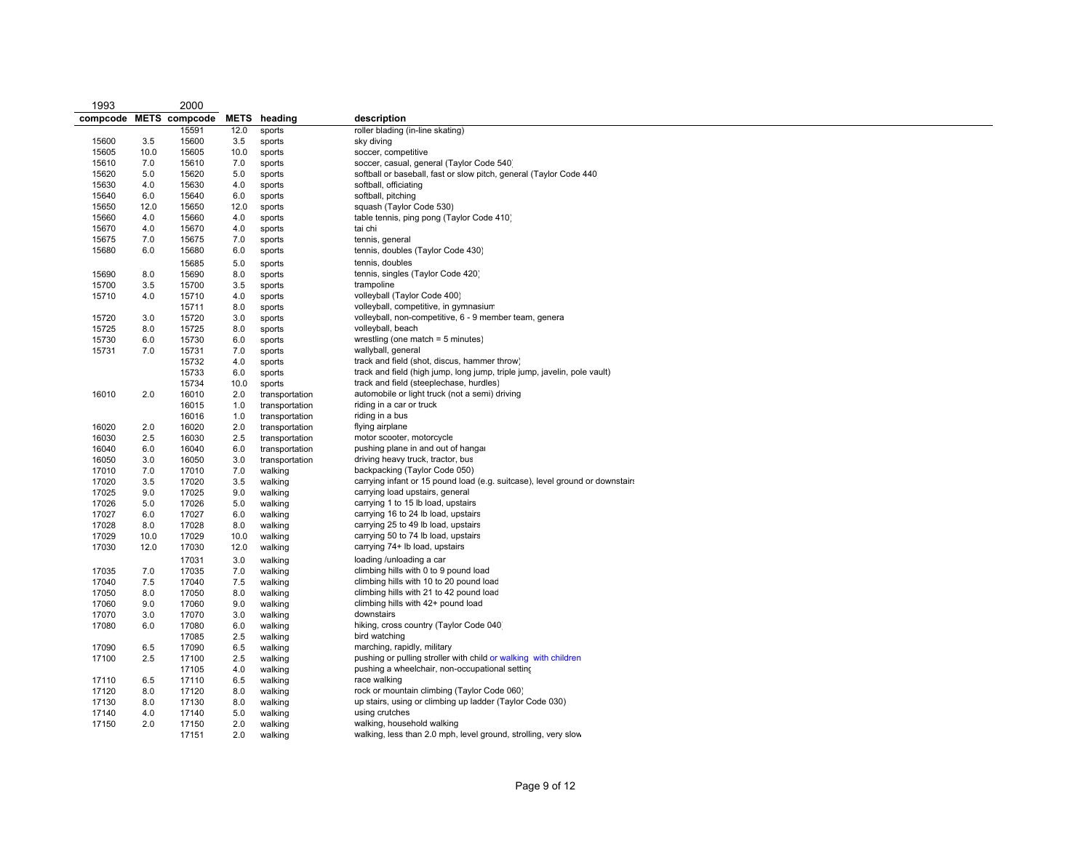| 1993  |      | 2000                   |      |                     |                                                                              |
|-------|------|------------------------|------|---------------------|------------------------------------------------------------------------------|
|       |      | compcode METS compcode |      | <b>METS</b> heading | description                                                                  |
|       |      | 15591                  | 12.0 | sports              | roller blading (in-line skating)                                             |
| 15600 | 3.5  | 15600                  | 3.5  | sports              | sky diving                                                                   |
| 15605 | 10.0 | 15605                  | 10.0 | sports              | soccer, competitive                                                          |
| 15610 | 7.0  | 15610                  | 7.0  | sports              | soccer, casual, general (Taylor Code 540)                                    |
| 15620 | 5.0  | 15620                  | 5.0  | sports              | softball or baseball, fast or slow pitch, general (Taylor Code 440)          |
| 15630 | 4.0  | 15630                  | 4.0  | sports              | softball, officiating                                                        |
| 15640 | 6.0  | 15640                  | 6.0  | sports              | softball, pitching                                                           |
| 15650 | 12.0 | 15650                  | 12.0 | sports              | squash (Taylor Code 530)                                                     |
| 15660 | 4.0  | 15660                  | 4.0  | sports              | table tennis, ping pong (Taylor Code 410)                                    |
| 15670 | 4.0  | 15670                  | 4.0  | sports              | tai chi                                                                      |
| 15675 | 7.0  | 15675                  | 7.0  | sports              | tennis, general                                                              |
| 15680 | 6.0  | 15680                  | 6.0  | sports              | tennis, doubles (Taylor Code 430)                                            |
|       |      | 15685                  | 5.0  | sports              | tennis, doubles                                                              |
| 15690 | 8.0  | 15690                  | 8.0  | sports              | tennis, singles (Taylor Code 420)                                            |
| 15700 | 3.5  | 15700                  | 3.5  | sports              | trampoline                                                                   |
| 15710 | 4.0  | 15710                  | 4.0  | sports              | volleyball (Taylor Code 400)                                                 |
|       |      | 15711                  | 8.0  | sports              | volleyball, competitive, in gymnasium                                        |
| 15720 | 3.0  | 15720                  | 3.0  | sports              | volleyball, non-competitive, 6 - 9 member team, genera                       |
| 15725 | 8.0  | 15725                  | 8.0  | sports              | volleyball, beach                                                            |
| 15730 | 6.0  | 15730                  | 6.0  | sports              | wrestling (one match $=$ 5 minutes)                                          |
| 15731 | 7.0  | 15731                  | 7.0  | sports              | wallyball, general                                                           |
|       |      | 15732                  | 4.0  | sports              | track and field (shot, discus, hammer throw)                                 |
|       |      | 15733                  | 6.0  | sports              | track and field (high jump, long jump, triple jump, javelin, pole vault)     |
|       |      | 15734                  | 10.0 | sports              | track and field (steeplechase, hurdles)                                      |
| 16010 | 2.0  | 16010                  | 2.0  | transportation      | automobile or light truck (not a semi) driving                               |
|       |      | 16015                  | 1.0  | transportation      | riding in a car or truck                                                     |
|       |      | 16016                  | 1.0  | transportation      | riding in a bus                                                              |
| 16020 | 2.0  | 16020                  | 2.0  | transportation      | flying airplane                                                              |
| 16030 | 2.5  | 16030                  | 2.5  | transportation      | motor scooter, motorcycle                                                    |
| 16040 | 6.0  | 16040                  | 6.0  | transportation      | pushing plane in and out of hangar                                           |
| 16050 | 3.0  | 16050                  | 3.0  | transportation      | driving heavy truck, tractor, bus                                            |
| 17010 | 7.0  | 17010                  | 7.0  | walking             | backpacking (Taylor Code 050)                                                |
| 17020 | 3.5  | 17020                  | 3.5  | walking             | carrying infant or 15 pound load (e.g. suitcase), level ground or downstairs |
| 17025 | 9.0  | 17025                  | 9.0  | walking             | carrying load upstairs, general                                              |
| 17026 | 5.0  | 17026                  | 5.0  | walking             | carrying 1 to 15 lb load, upstairs                                           |
| 17027 | 6.0  | 17027                  | 6.0  | walking             | carrying 16 to 24 lb load, upstairs                                          |
| 17028 | 8.0  | 17028                  | 8.0  | walking             | carrying 25 to 49 lb load, upstairs                                          |
| 17029 | 10.0 | 17029                  | 10.0 | walking             | carrying 50 to 74 lb load, upstairs                                          |
| 17030 | 12.0 | 17030                  | 12.0 | walking             | carrying 74+ lb load, upstairs                                               |
|       |      |                        |      |                     |                                                                              |
|       |      | 17031                  | 3.0  | walking             | loading /unloading a car                                                     |
| 17035 | 7.0  | 17035                  | 7.0  | walking             | climbing hills with 0 to 9 pound load                                        |
| 17040 | 7.5  | 17040                  | 7.5  | walking             | climbing hills with 10 to 20 pound load                                      |
| 17050 | 8.0  | 17050                  | 8.0  | walking             | climbing hills with 21 to 42 pound load                                      |
| 17060 | 9.0  | 17060                  | 9.0  | walking             | climbing hills with 42+ pound load                                           |
| 17070 | 3.0  | 17070                  | 3.0  | walking             | downstairs                                                                   |
| 17080 | 6.0  | 17080                  | 6.0  | walking             | hiking, cross country (Taylor Code 040)                                      |
|       |      | 17085                  | 2.5  | walking             | bird watching                                                                |
| 17090 | 6.5  | 17090                  | 6.5  | walking             | marching, rapidly, military                                                  |
| 17100 | 2.5  | 17100                  | 2.5  | walking             | pushing or pulling stroller with child or walking with children              |
|       |      | 17105                  | 4.0  | walking             | pushing a wheelchair, non-occupational setting                               |
| 17110 | 6.5  | 17110                  | 6.5  | walking             | race walking                                                                 |
| 17120 | 8.0  | 17120                  | 8.0  | walking             | rock or mountain climbing (Taylor Code 060)                                  |
| 17130 | 8.0  | 17130                  | 8.0  | walking             | up stairs, using or climbing up ladder (Taylor Code 030)                     |
| 17140 | 4.0  | 17140                  | 5.0  | walking             | using crutches                                                               |
| 17150 | 2.0  | 17150                  | 2.0  | walking             | walking, household walking                                                   |
|       |      | 17151                  | 2.0  | walking             | walking, less than 2.0 mph, level ground, strolling, very slow               |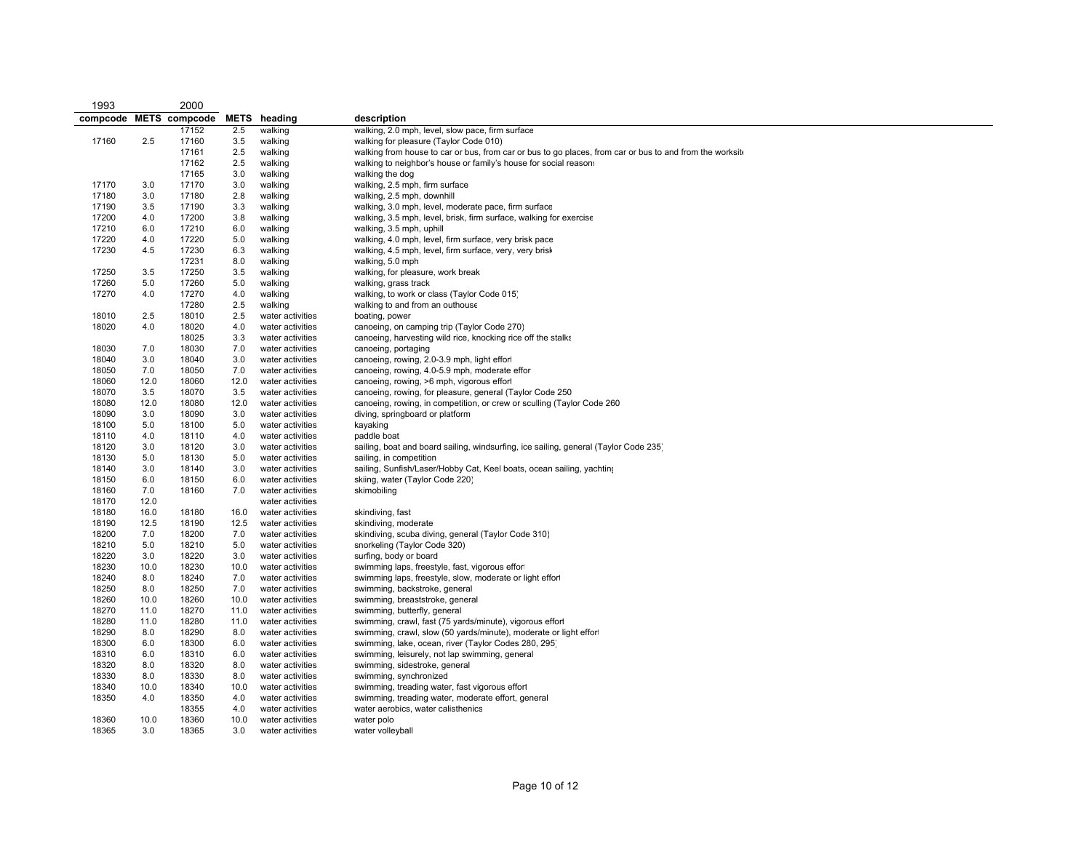| 1993                   |      | 2000  |             |                  |                                                                                                          |
|------------------------|------|-------|-------------|------------------|----------------------------------------------------------------------------------------------------------|
| compcode METS compcode |      |       | <b>METS</b> | heading          | description                                                                                              |
|                        |      | 17152 | 2.5         | walking          | walking, 2.0 mph, level, slow pace, firm surface                                                         |
| 17160                  | 2.5  | 17160 | 3.5         | walking          | walking for pleasure (Taylor Code 010)                                                                   |
|                        |      | 17161 | 2.5         | walking          | walking from house to car or bus, from car or bus to go places, from car or bus to and from the worksite |
|                        |      | 17162 | 2.5         | walking          | walking to neighbor's house or family's house for social reasons                                         |
|                        |      | 17165 | 3.0         | walking          | walking the dog                                                                                          |
| 17170                  | 3.0  | 17170 | 3.0         | walking          | walking, 2.5 mph, firm surface                                                                           |
| 17180                  | 3.0  | 17180 | 2.8         | walking          | walking, 2.5 mph, downhill                                                                               |
| 17190                  | 3.5  | 17190 | 3.3         | walking          | walking, 3.0 mph, level, moderate pace, firm surface                                                     |
| 17200                  | 4.0  | 17200 | 3.8         | walking          | walking, 3.5 mph, level, brisk, firm surface, walking for exercise                                       |
| 17210                  | 6.0  | 17210 | 6.0         | walking          | walking, 3.5 mph, uphill                                                                                 |
| 17220                  | 4.0  | 17220 | 5.0         | walking          | walking, 4.0 mph, level, firm surface, very brisk pace                                                   |
| 17230                  | 4.5  | 17230 | 6.3         | walking          | walking, 4.5 mph, level, firm surface, very, very brisk                                                  |
|                        |      | 17231 | 8.0         | walking          | walking, 5.0 mph                                                                                         |
| 17250                  | 3.5  | 17250 | 3.5         | walking          | walking, for pleasure, work break                                                                        |
| 17260                  | 5.0  | 17260 | 5.0         | walking          | walking, grass track                                                                                     |
| 17270                  | 4.0  | 17270 | 4.0         | walking          | walking, to work or class (Taylor Code 015)                                                              |
|                        |      | 17280 | 2.5         | walking          | walking to and from an outhouse                                                                          |
| 18010                  | 2.5  | 18010 | 2.5         | water activities | boating, power                                                                                           |
| 18020                  | 4.0  | 18020 | 4.0         | water activities | canoeing, on camping trip (Taylor Code 270)                                                              |
|                        |      | 18025 | 3.3         | water activities | canoeing, harvesting wild rice, knocking rice off the stalks                                             |
| 18030                  | 7.0  | 18030 | 7.0         | water activities | canoeing, portaging                                                                                      |
| 18040                  | 3.0  | 18040 | 3.0         | water activities | canoeing, rowing, 2.0-3.9 mph, light effor                                                               |
| 18050                  | 7.0  | 18050 | 7.0         | water activities | canoeing, rowing, 4.0-5.9 mph, moderate effor                                                            |
| 18060                  | 12.0 | 18060 | 12.0        | water activities | canoeing, rowing, >6 mph, vigorous effort                                                                |
| 18070                  | 3.5  | 18070 | 3.5         | water activities | canoeing, rowing, for pleasure, general (Taylor Code 250                                                 |
| 18080                  | 12.0 | 18080 | 12.0        | water activities | canoeing, rowing, in competition, or crew or sculling (Taylor Code 260                                   |
| 18090                  | 3.0  | 18090 | 3.0         | water activities | diving, springboard or platform                                                                          |
| 18100                  | 5.0  | 18100 | 5.0         | water activities | kayaking                                                                                                 |
| 18110                  | 4.0  | 18110 | 4.0         | water activities | paddle boat                                                                                              |
| 18120                  | 3.0  | 18120 | 3.0         | water activities | sailing, boat and board sailing, windsurfing, ice sailing, general (Taylor Code 235)                     |
| 18130                  | 5.0  | 18130 | 5.0         | water activities | sailing, in competition                                                                                  |
| 18140                  | 3.0  | 18140 | 3.0         | water activities | sailing, Sunfish/Laser/Hobby Cat, Keel boats, ocean sailing, yachting                                    |
| 18150                  | 6.0  | 18150 | 6.0         | water activities | skiing, water (Taylor Code 220)                                                                          |
| 18160                  | 7.0  | 18160 | 7.0         | water activities | skimobiling                                                                                              |
| 18170                  | 12.0 |       |             | water activities |                                                                                                          |
| 18180                  | 16.0 | 18180 | 16.0        | water activities | skindiving, fast                                                                                         |
| 18190                  | 12.5 | 18190 | 12.5        | water activities | skindiving, moderate                                                                                     |
| 18200                  | 7.0  | 18200 | 7.0         | water activities | skindiving, scuba diving, general (Taylor Code 310)                                                      |
| 18210                  | 5.0  | 18210 | 5.0         | water activities | snorkeling (Taylor Code 320)                                                                             |
| 18220                  | 3.0  | 18220 | 3.0         | water activities | surfing, body or board                                                                                   |
| 18230                  | 10.0 | 18230 | 10.0        | water activities | swimming laps, freestyle, fast, vigorous effort                                                          |
| 18240                  | 8.0  | 18240 | 7.0         | water activities | swimming laps, freestyle, slow, moderate or light effort                                                 |
| 18250                  | 8.0  | 18250 | 7.0         | water activities | swimming, backstroke, general                                                                            |
| 18260                  | 10.0 | 18260 | 10.0        | water activities | swimming, breaststroke, general                                                                          |
| 18270                  | 11.0 | 18270 | 11.0        | water activities | swimming, butterfly, general                                                                             |
| 18280                  | 11.0 | 18280 | 11.0        | water activities | swimming, crawl, fast (75 yards/minute), vigorous effor                                                  |
| 18290                  | 8.0  | 18290 | 8.0         | water activities | swimming, crawl, slow (50 yards/minute), moderate or light effort                                        |
| 18300                  | 6.0  | 18300 | 6.0         | water activities | swimming, lake, ocean, river (Taylor Codes 280, 295)                                                     |
| 18310                  | 6.0  | 18310 | 6.0         | water activities | swimming, leisurely, not lap swimming, general                                                           |
| 18320                  | 8.0  | 18320 | 8.0         | water activities | swimming, sidestroke, general                                                                            |
| 18330                  | 8.0  | 18330 | 8.0         | water activities | swimming, synchronized                                                                                   |
| 18340                  | 10.0 | 18340 | 10.0        | water activities | swimming, treading water, fast vigorous effort                                                           |
| 18350                  | 4.0  | 18350 | 4.0         | water activities | swimming, treading water, moderate effort, general                                                       |
|                        |      | 18355 | 4.0         | water activities | water aerobics, water calisthenics                                                                       |
| 18360                  | 10.0 | 18360 | 10.0        | water activities | water polo                                                                                               |
| 18365                  | 3.0  | 18365 | 3.0         | water activities | water volleyball                                                                                         |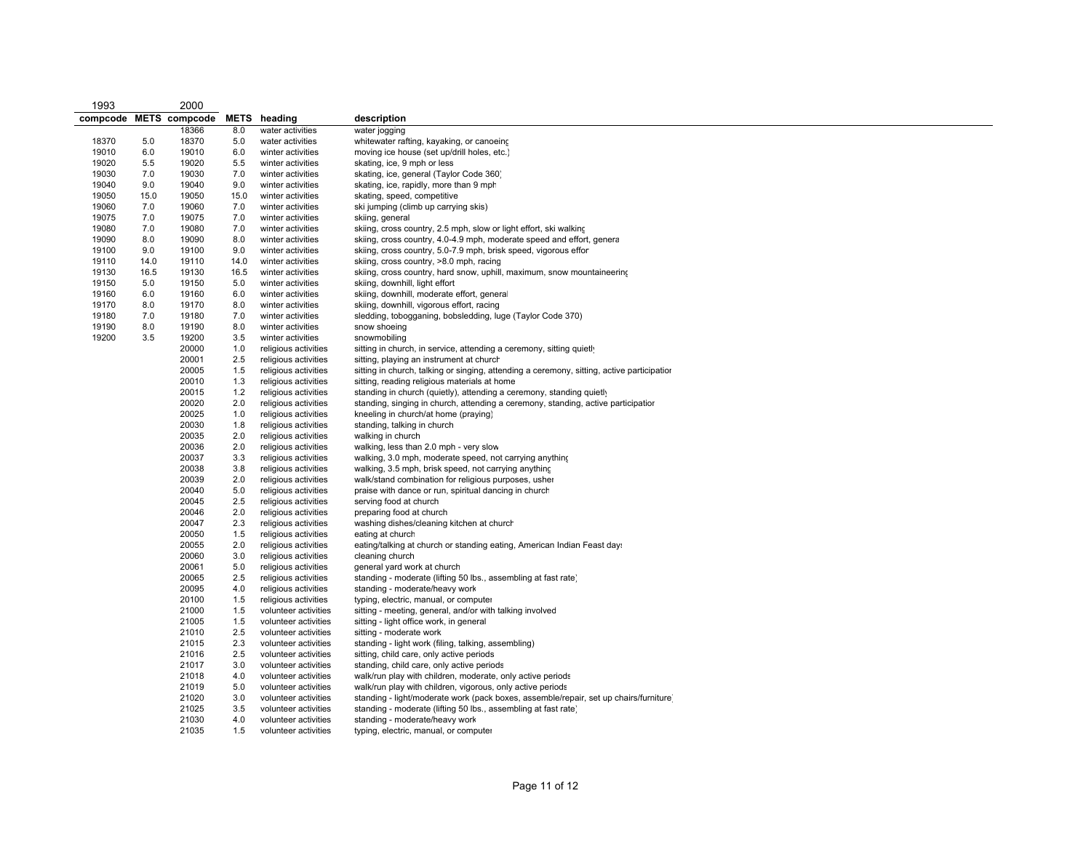| 1993                   |      | 2000           |      |                                        |                                                                                            |
|------------------------|------|----------------|------|----------------------------------------|--------------------------------------------------------------------------------------------|
| compcode METS compcode |      |                | METS | heading                                | description                                                                                |
|                        |      | 18366          | 8.0  | water activities                       | water jogging                                                                              |
| 18370                  | 5.0  | 18370          | 5.0  | water activities                       | whitewater rafting, kayaking, or canoeing                                                  |
| 19010                  | 6.0  | 19010          | 6.0  | winter activities                      | moving ice house (set up/drill holes, etc.)                                                |
| 19020                  | 5.5  | 19020          | 5.5  | winter activities                      | skating, ice, 9 mph or less                                                                |
| 19030                  | 7.0  | 19030          | 7.0  | winter activities                      | skating, ice, general (Taylor Code 360)                                                    |
| 19040                  | 9.0  | 19040          | 9.0  | winter activities                      | skating, ice, rapidly, more than 9 mph                                                     |
| 19050                  | 15.0 | 19050          | 15.0 | winter activities                      | skating, speed, competitive                                                                |
| 19060                  | 7.0  | 19060          | 7.0  | winter activities                      | ski jumping (climb up carrying skis)                                                       |
| 19075                  | 7.0  | 19075          | 7.0  | winter activities                      | skiing, general                                                                            |
| 19080                  | 7.0  | 19080          | 7.0  | winter activities                      | skiing, cross country, 2.5 mph, slow or light effort, ski walking                          |
| 19090                  | 8.0  | 19090          | 8.0  | winter activities                      | skiing, cross country, 4.0-4.9 mph, moderate speed and effort, general                     |
| 19100                  | 9.0  |                | 9.0  |                                        | skiing, cross country, 5.0-7.9 mph, brisk speed, vigorous effor                            |
| 19110                  | 14.0 | 19100<br>19110 | 14.0 | winter activities<br>winter activities |                                                                                            |
|                        |      |                |      |                                        | skiing, cross country, >8.0 mph, racing                                                    |
| 19130                  | 16.5 | 19130          | 16.5 | winter activities                      | skiing, cross country, hard snow, uphill, maximum, snow mountaineering                     |
| 19150                  | 5.0  | 19150          | 5.0  | winter activities                      | skiing, downhill, light effort                                                             |
| 19160                  | 6.0  | 19160          | 6.0  | winter activities                      | skiing, downhill, moderate effort, general                                                 |
| 19170                  | 8.0  | 19170          | 8.0  | winter activities                      | skiing, downhill, vigorous effort, racing                                                  |
| 19180                  | 7.0  | 19180          | 7.0  | winter activities                      | sledding, tobogganing, bobsledding, luge (Taylor Code 370)                                 |
| 19190                  | 8.0  | 19190          | 8.0  | winter activities                      | snow shoeing                                                                               |
| 19200                  | 3.5  | 19200          | 3.5  | winter activities                      | snowmobiling                                                                               |
|                        |      | 20000          | 1.0  | religious activities                   | sitting in church, in service, attending a ceremony, sitting quietly                       |
|                        |      | 20001          | 2.5  | religious activities                   | sitting, playing an instrument at church                                                   |
|                        |      | 20005          | 1.5  | religious activities                   | sitting in church, talking or singing, attending a ceremony, sitting, active participatior |
|                        |      | 20010          | 1.3  | religious activities                   | sitting, reading religious materials at home                                               |
|                        |      | 20015          | 1.2  | religious activities                   | standing in church (quietly), attending a ceremony, standing quietly                       |
|                        |      | 20020          | 2.0  | religious activities                   | standing, singing in church, attending a ceremony, standing, active participation          |
|                        |      | 20025          | 1.0  | religious activities                   | kneeling in church/at home (praying)                                                       |
|                        |      | 20030          | 1.8  | religious activities                   | standing, talking in church                                                                |
|                        |      | 20035          | 2.0  | religious activities                   | walking in church                                                                          |
|                        |      | 20036          | 2.0  | religious activities                   | walking, less than 2.0 mph - very slow                                                     |
|                        |      | 20037          | 3.3  | religious activities                   | walking, 3.0 mph, moderate speed, not carrying anything                                    |
|                        |      | 20038          | 3.8  | religious activities                   | walking, 3.5 mph, brisk speed, not carrying anything                                       |
|                        |      | 20039          | 2.0  | religious activities                   | walk/stand combination for religious purposes, usher                                       |
|                        |      | 20040          | 5.0  | religious activities                   | praise with dance or run, spiritual dancing in church                                      |
|                        |      | 20045          | 2.5  | religious activities                   | serving food at church                                                                     |
|                        |      | 20046          | 2.0  | religious activities                   | preparing food at church                                                                   |
|                        |      | 20047          | 2.3  | religious activities                   | washing dishes/cleaning kitchen at church                                                  |
|                        |      | 20050          | 1.5  | religious activities                   | eating at church                                                                           |
|                        |      | 20055          | 2.0  | religious activities                   | eating/talking at church or standing eating, American Indian Feast day.                    |
|                        |      | 20060          | 3.0  | religious activities                   | cleaning church                                                                            |
|                        |      | 20061          |      |                                        |                                                                                            |
|                        |      |                | 5.0  | religious activities                   | general yard work at church                                                                |
|                        |      | 20065          | 2.5  | religious activities                   | standing - moderate (lifting 50 lbs., assembling at fast rate)                             |
|                        |      | 20095          | 4.0  | religious activities                   | standing - moderate/heavy work                                                             |
|                        |      | 20100          | 1.5  | religious activities                   | typing, electric, manual, or computer                                                      |
|                        |      | 21000          | 1.5  | volunteer activities                   | sitting - meeting, general, and/or with talking involved                                   |
|                        |      | 21005          | 1.5  | volunteer activities                   | sitting - light office work, in general                                                    |
|                        |      | 21010          | 2.5  | volunteer activities                   | sitting - moderate work                                                                    |
|                        |      | 21015          | 2.3  | volunteer activities                   | standing - light work (filing, talking, assembling)                                        |
|                        |      | 21016          | 2.5  | volunteer activities                   | sitting, child care, only active periods                                                   |
|                        |      | 21017          | 3.0  | volunteer activities                   | standing, child care, only active periods                                                  |
|                        |      | 21018          | 4.0  | volunteer activities                   | walk/run play with children, moderate, only active periods                                 |
|                        |      | 21019          | 5.0  | volunteer activities                   | walk/run play with children, vigorous, only active periods                                 |
|                        |      | 21020          | 3.0  | volunteer activities                   | standing - light/moderate work (pack boxes, assemble/repair, set up chairs/furniture)      |
|                        |      | 21025          | 3.5  | volunteer activities                   | standing - moderate (lifting 50 lbs., assembling at fast rate)                             |
|                        |      | 21030          | 4.0  | volunteer activities                   | standing - moderate/heavy work                                                             |
|                        |      | 21035          | 1.5  | volunteer activities                   | typing, electric, manual, or computer                                                      |
|                        |      |                |      |                                        |                                                                                            |